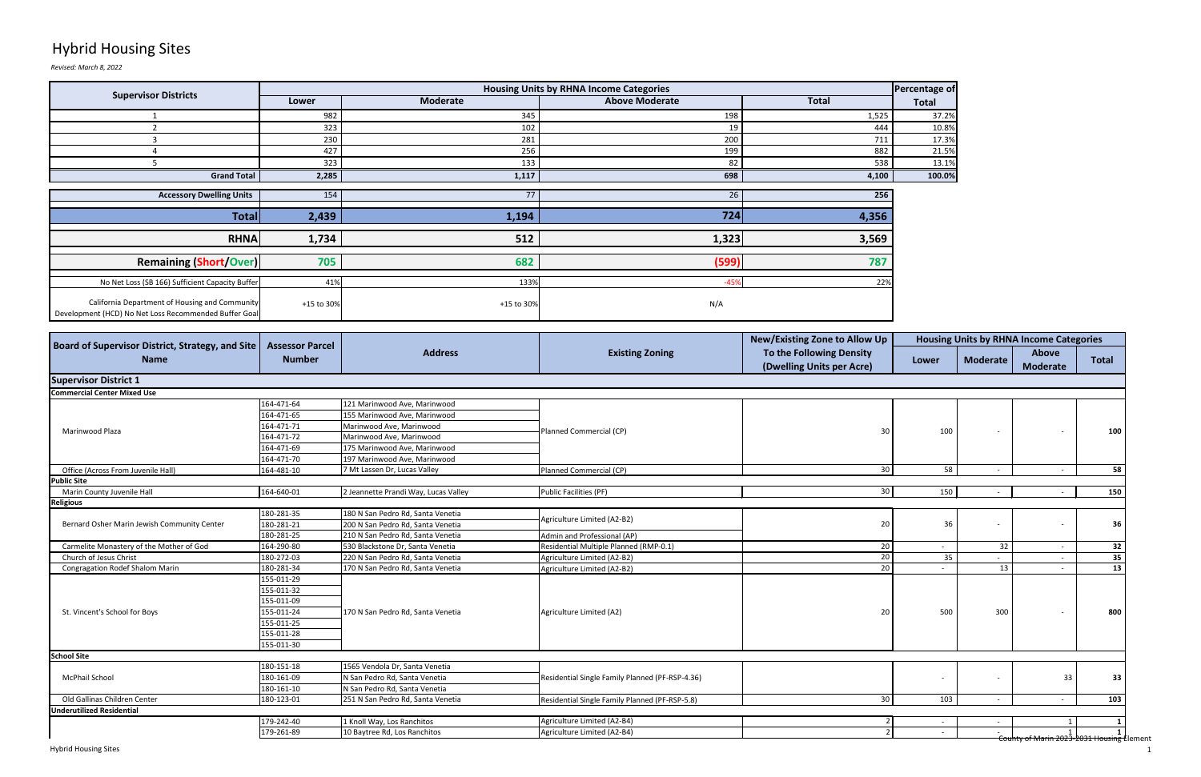## Hybrid Housing Sites

*Revised: March 8, 2022*

|                                                                                                         | Percentage of<br><b>Housing Units by RHNA Income Categories</b> |                 |                       |              |              |  |  |
|---------------------------------------------------------------------------------------------------------|-----------------------------------------------------------------|-----------------|-----------------------|--------------|--------------|--|--|
| <b>Supervisor Districts</b>                                                                             | Lower                                                           | <b>Moderate</b> | <b>Above Moderate</b> | <b>Total</b> | <b>Total</b> |  |  |
|                                                                                                         | 982                                                             | 345             | 198                   | 1,525        | 37.2%        |  |  |
|                                                                                                         | 323                                                             | 102             | 19                    | 444          | 10.8%        |  |  |
|                                                                                                         | 230                                                             | 281             | 200                   | 711          | 17.3%        |  |  |
|                                                                                                         | 427                                                             | 256             | 199                   | 882          | 21.5%        |  |  |
|                                                                                                         | 323                                                             | 133             | 82                    | 538          | 13.1%        |  |  |
| <b>Grand Total</b>                                                                                      | 2,285                                                           | 1,117           | 698                   | 4,100        | 100.0%       |  |  |
|                                                                                                         |                                                                 |                 |                       |              |              |  |  |
| <b>Accessory Dwelling Units</b>                                                                         | 154                                                             | 77              | 26                    | 256          |              |  |  |
| <b>Total</b>                                                                                            | 2,439                                                           | 1,194           | 724                   | 4,356        |              |  |  |
| <b>RHNA</b>                                                                                             | 1,734                                                           | 512             | 1,323                 | 3,569        |              |  |  |
| <b>Remaining (Short/Over)</b>                                                                           | 705                                                             | 682             | (599)                 | 787          |              |  |  |
| No Net Loss (SB 166) Sufficient Capacity Buffer                                                         | 41%                                                             | 133%            | $-45%$                | 22%          |              |  |  |
| California Department of Housing and Community<br>Development (HCD) No Net Loss Recommended Buffer Goal | +15 to 30%                                                      | +15 to 30%      | N/A                   |              |              |  |  |

| <b>Assessor Parcel</b><br><b>Address</b><br><b>Existing Zoning</b><br>To the Following Density<br>Above<br><b>Number</b><br><b>Moderate</b><br><b>Name</b><br><b>Total</b><br>Lower<br>(Dwelling Units per Acre)<br><b>Moderate</b><br>164-471-64<br>121 Marinwood Ave, Marinwood<br>164-471-65<br>155 Marinwood Ave, Marinwood<br>164-471-71<br>Marinwood Ave, Marinwood<br>Marinwood Plaza<br>Planned Commercial (CP)<br>100<br>100<br>30<br>164-471-72<br>Marinwood Ave, Marinwood<br>164-471-69<br>175 Marinwood Ave, Marinwood<br>164-471-70<br>197 Marinwood Ave, Marinwood<br>30 <sup>°</sup><br>58<br>58<br>Office (Across From Juvenile Hall)<br>Planned Commercial (CP)<br>164-481-10<br>7 Mt Lassen Dr, Lucas Valley<br>$\sim$<br>$\sim$<br>30 <sup>1</sup><br>Marin County Juvenile Hall<br>164-640-01<br>2 Jeannette Prandi Way, Lucas Valley<br>Public Facilities (PF)<br>150<br>150<br>180-281-35<br>180 N San Pedro Rd, Santa Venetia<br>Agriculture Limited (A2-B2)<br>20<br>36<br>36<br>Bernard Osher Marin Jewish Community Center<br>180-281-21<br>200 N San Pedro Rd, Santa Venetia<br>180-281-25<br>210 N San Pedro Rd, Santa Venetia<br>Admin and Professional (AP)<br>Carmelite Monastery of the Mother of God<br>20<br>32<br>32<br>164-290-80<br>Residential Multiple Planned (RMP-0.1)<br>530 Blackstone Dr, Santa Venetia<br>$\sim$<br>$\sim$<br>35<br>20<br>Church of Jesus Christ<br>180-272-03<br>220 N San Pedro Rd, Santa Venetia<br>35<br>Agriculture Limited (A2-B2)<br>$\sim$ $-$<br>13<br>20<br>13<br>180-281-34<br><b>Congragation Rodef Shalom Marin</b><br>170 N San Pedro Rd, Santa Venetia<br>Agriculture Limited (A2-B2)<br>$\sim$<br>155-011-29<br>155-011-32<br>155-011-09<br>155-011-24<br>St. Vincent's School for Boys<br>Agriculture Limited (A2)<br>500<br>170 N San Pedro Rd, Santa Venetia<br>300<br>800<br>20<br>$-$<br>155-011-25<br>155-011-28<br>155-011-30<br>180-151-18<br>1565 Vendola Dr, Santa Venetia<br>McPhail School<br>33<br>33<br>180-161-09<br>N San Pedro Rd, Santa Venetia<br>Residential Single Family Planned (PF-RSP-4.36)<br>180-161-10<br>N San Pedro Rd, Santa Venetia<br>30 <sup>1</sup><br>Old Gallinas Children Center<br>180-123-01<br>103<br>103<br>251 N San Pedro Rd, Santa Venetia<br>Residential Single Family Planned (PF-RSP-5.8)<br>$\sim$<br>179-242-40<br>Agriculture Limited (A2-B4)<br>L Knoll Way, Los Ranchitos<br>$\sim$<br>$\sim$<br>Agriculture Limited (A2-B4)<br>179-261-89<br>10 Baytree Rd, Los Ranchitos<br>$\sim$ | <b>Board of Supervisor District, Strategy, and Site</b> |  |  | New/Existing Zone to Allow Up | <b>Housing Units by RHNA Income Categories</b> |  |  |  |
|-------------------------------------------------------------------------------------------------------------------------------------------------------------------------------------------------------------------------------------------------------------------------------------------------------------------------------------------------------------------------------------------------------------------------------------------------------------------------------------------------------------------------------------------------------------------------------------------------------------------------------------------------------------------------------------------------------------------------------------------------------------------------------------------------------------------------------------------------------------------------------------------------------------------------------------------------------------------------------------------------------------------------------------------------------------------------------------------------------------------------------------------------------------------------------------------------------------------------------------------------------------------------------------------------------------------------------------------------------------------------------------------------------------------------------------------------------------------------------------------------------------------------------------------------------------------------------------------------------------------------------------------------------------------------------------------------------------------------------------------------------------------------------------------------------------------------------------------------------------------------------------------------------------------------------------------------------------------------------------------------------------------------------------------------------------------------------------------------------------------------------------------------------------------------------------------------------------------------------------------------------------------------------------------------------------------------------------------------------------------------------------------------------------------------------------------------------------------------------------------------------------------------|---------------------------------------------------------|--|--|-------------------------------|------------------------------------------------|--|--|--|
|                                                                                                                                                                                                                                                                                                                                                                                                                                                                                                                                                                                                                                                                                                                                                                                                                                                                                                                                                                                                                                                                                                                                                                                                                                                                                                                                                                                                                                                                                                                                                                                                                                                                                                                                                                                                                                                                                                                                                                                                                                                                                                                                                                                                                                                                                                                                                                                                                                                                                                                         |                                                         |  |  |                               |                                                |  |  |  |
| County of Marin 2023-2031 Housing E                                                                                                                                                                                                                                                                                                                                                                                                                                                                                                                                                                                                                                                                                                                                                                                                                                                                                                                                                                                                                                                                                                                                                                                                                                                                                                                                                                                                                                                                                                                                                                                                                                                                                                                                                                                                                                                                                                                                                                                                                                                                                                                                                                                                                                                                                                                                                                                                                                                                                     |                                                         |  |  |                               |                                                |  |  |  |
|                                                                                                                                                                                                                                                                                                                                                                                                                                                                                                                                                                                                                                                                                                                                                                                                                                                                                                                                                                                                                                                                                                                                                                                                                                                                                                                                                                                                                                                                                                                                                                                                                                                                                                                                                                                                                                                                                                                                                                                                                                                                                                                                                                                                                                                                                                                                                                                                                                                                                                                         | <b>Supervisor District 1</b>                            |  |  |                               |                                                |  |  |  |
|                                                                                                                                                                                                                                                                                                                                                                                                                                                                                                                                                                                                                                                                                                                                                                                                                                                                                                                                                                                                                                                                                                                                                                                                                                                                                                                                                                                                                                                                                                                                                                                                                                                                                                                                                                                                                                                                                                                                                                                                                                                                                                                                                                                                                                                                                                                                                                                                                                                                                                                         | <b>Commercial Center Mixed Use</b>                      |  |  |                               |                                                |  |  |  |
|                                                                                                                                                                                                                                                                                                                                                                                                                                                                                                                                                                                                                                                                                                                                                                                                                                                                                                                                                                                                                                                                                                                                                                                                                                                                                                                                                                                                                                                                                                                                                                                                                                                                                                                                                                                                                                                                                                                                                                                                                                                                                                                                                                                                                                                                                                                                                                                                                                                                                                                         |                                                         |  |  |                               |                                                |  |  |  |
|                                                                                                                                                                                                                                                                                                                                                                                                                                                                                                                                                                                                                                                                                                                                                                                                                                                                                                                                                                                                                                                                                                                                                                                                                                                                                                                                                                                                                                                                                                                                                                                                                                                                                                                                                                                                                                                                                                                                                                                                                                                                                                                                                                                                                                                                                                                                                                                                                                                                                                                         |                                                         |  |  |                               |                                                |  |  |  |
|                                                                                                                                                                                                                                                                                                                                                                                                                                                                                                                                                                                                                                                                                                                                                                                                                                                                                                                                                                                                                                                                                                                                                                                                                                                                                                                                                                                                                                                                                                                                                                                                                                                                                                                                                                                                                                                                                                                                                                                                                                                                                                                                                                                                                                                                                                                                                                                                                                                                                                                         |                                                         |  |  |                               |                                                |  |  |  |
|                                                                                                                                                                                                                                                                                                                                                                                                                                                                                                                                                                                                                                                                                                                                                                                                                                                                                                                                                                                                                                                                                                                                                                                                                                                                                                                                                                                                                                                                                                                                                                                                                                                                                                                                                                                                                                                                                                                                                                                                                                                                                                                                                                                                                                                                                                                                                                                                                                                                                                                         |                                                         |  |  |                               |                                                |  |  |  |
|                                                                                                                                                                                                                                                                                                                                                                                                                                                                                                                                                                                                                                                                                                                                                                                                                                                                                                                                                                                                                                                                                                                                                                                                                                                                                                                                                                                                                                                                                                                                                                                                                                                                                                                                                                                                                                                                                                                                                                                                                                                                                                                                                                                                                                                                                                                                                                                                                                                                                                                         |                                                         |  |  |                               |                                                |  |  |  |
|                                                                                                                                                                                                                                                                                                                                                                                                                                                                                                                                                                                                                                                                                                                                                                                                                                                                                                                                                                                                                                                                                                                                                                                                                                                                                                                                                                                                                                                                                                                                                                                                                                                                                                                                                                                                                                                                                                                                                                                                                                                                                                                                                                                                                                                                                                                                                                                                                                                                                                                         |                                                         |  |  |                               |                                                |  |  |  |
|                                                                                                                                                                                                                                                                                                                                                                                                                                                                                                                                                                                                                                                                                                                                                                                                                                                                                                                                                                                                                                                                                                                                                                                                                                                                                                                                                                                                                                                                                                                                                                                                                                                                                                                                                                                                                                                                                                                                                                                                                                                                                                                                                                                                                                                                                                                                                                                                                                                                                                                         |                                                         |  |  |                               |                                                |  |  |  |
|                                                                                                                                                                                                                                                                                                                                                                                                                                                                                                                                                                                                                                                                                                                                                                                                                                                                                                                                                                                                                                                                                                                                                                                                                                                                                                                                                                                                                                                                                                                                                                                                                                                                                                                                                                                                                                                                                                                                                                                                                                                                                                                                                                                                                                                                                                                                                                                                                                                                                                                         | <b>Public Site</b>                                      |  |  |                               |                                                |  |  |  |
|                                                                                                                                                                                                                                                                                                                                                                                                                                                                                                                                                                                                                                                                                                                                                                                                                                                                                                                                                                                                                                                                                                                                                                                                                                                                                                                                                                                                                                                                                                                                                                                                                                                                                                                                                                                                                                                                                                                                                                                                                                                                                                                                                                                                                                                                                                                                                                                                                                                                                                                         |                                                         |  |  |                               |                                                |  |  |  |
|                                                                                                                                                                                                                                                                                                                                                                                                                                                                                                                                                                                                                                                                                                                                                                                                                                                                                                                                                                                                                                                                                                                                                                                                                                                                                                                                                                                                                                                                                                                                                                                                                                                                                                                                                                                                                                                                                                                                                                                                                                                                                                                                                                                                                                                                                                                                                                                                                                                                                                                         | <b>Religious</b>                                        |  |  |                               |                                                |  |  |  |
|                                                                                                                                                                                                                                                                                                                                                                                                                                                                                                                                                                                                                                                                                                                                                                                                                                                                                                                                                                                                                                                                                                                                                                                                                                                                                                                                                                                                                                                                                                                                                                                                                                                                                                                                                                                                                                                                                                                                                                                                                                                                                                                                                                                                                                                                                                                                                                                                                                                                                                                         |                                                         |  |  |                               |                                                |  |  |  |
|                                                                                                                                                                                                                                                                                                                                                                                                                                                                                                                                                                                                                                                                                                                                                                                                                                                                                                                                                                                                                                                                                                                                                                                                                                                                                                                                                                                                                                                                                                                                                                                                                                                                                                                                                                                                                                                                                                                                                                                                                                                                                                                                                                                                                                                                                                                                                                                                                                                                                                                         |                                                         |  |  |                               |                                                |  |  |  |
|                                                                                                                                                                                                                                                                                                                                                                                                                                                                                                                                                                                                                                                                                                                                                                                                                                                                                                                                                                                                                                                                                                                                                                                                                                                                                                                                                                                                                                                                                                                                                                                                                                                                                                                                                                                                                                                                                                                                                                                                                                                                                                                                                                                                                                                                                                                                                                                                                                                                                                                         |                                                         |  |  |                               |                                                |  |  |  |
|                                                                                                                                                                                                                                                                                                                                                                                                                                                                                                                                                                                                                                                                                                                                                                                                                                                                                                                                                                                                                                                                                                                                                                                                                                                                                                                                                                                                                                                                                                                                                                                                                                                                                                                                                                                                                                                                                                                                                                                                                                                                                                                                                                                                                                                                                                                                                                                                                                                                                                                         |                                                         |  |  |                               |                                                |  |  |  |
|                                                                                                                                                                                                                                                                                                                                                                                                                                                                                                                                                                                                                                                                                                                                                                                                                                                                                                                                                                                                                                                                                                                                                                                                                                                                                                                                                                                                                                                                                                                                                                                                                                                                                                                                                                                                                                                                                                                                                                                                                                                                                                                                                                                                                                                                                                                                                                                                                                                                                                                         |                                                         |  |  |                               |                                                |  |  |  |
|                                                                                                                                                                                                                                                                                                                                                                                                                                                                                                                                                                                                                                                                                                                                                                                                                                                                                                                                                                                                                                                                                                                                                                                                                                                                                                                                                                                                                                                                                                                                                                                                                                                                                                                                                                                                                                                                                                                                                                                                                                                                                                                                                                                                                                                                                                                                                                                                                                                                                                                         |                                                         |  |  |                               |                                                |  |  |  |
|                                                                                                                                                                                                                                                                                                                                                                                                                                                                                                                                                                                                                                                                                                                                                                                                                                                                                                                                                                                                                                                                                                                                                                                                                                                                                                                                                                                                                                                                                                                                                                                                                                                                                                                                                                                                                                                                                                                                                                                                                                                                                                                                                                                                                                                                                                                                                                                                                                                                                                                         |                                                         |  |  |                               |                                                |  |  |  |
|                                                                                                                                                                                                                                                                                                                                                                                                                                                                                                                                                                                                                                                                                                                                                                                                                                                                                                                                                                                                                                                                                                                                                                                                                                                                                                                                                                                                                                                                                                                                                                                                                                                                                                                                                                                                                                                                                                                                                                                                                                                                                                                                                                                                                                                                                                                                                                                                                                                                                                                         |                                                         |  |  |                               |                                                |  |  |  |
|                                                                                                                                                                                                                                                                                                                                                                                                                                                                                                                                                                                                                                                                                                                                                                                                                                                                                                                                                                                                                                                                                                                                                                                                                                                                                                                                                                                                                                                                                                                                                                                                                                                                                                                                                                                                                                                                                                                                                                                                                                                                                                                                                                                                                                                                                                                                                                                                                                                                                                                         |                                                         |  |  |                               |                                                |  |  |  |
|                                                                                                                                                                                                                                                                                                                                                                                                                                                                                                                                                                                                                                                                                                                                                                                                                                                                                                                                                                                                                                                                                                                                                                                                                                                                                                                                                                                                                                                                                                                                                                                                                                                                                                                                                                                                                                                                                                                                                                                                                                                                                                                                                                                                                                                                                                                                                                                                                                                                                                                         |                                                         |  |  |                               |                                                |  |  |  |
|                                                                                                                                                                                                                                                                                                                                                                                                                                                                                                                                                                                                                                                                                                                                                                                                                                                                                                                                                                                                                                                                                                                                                                                                                                                                                                                                                                                                                                                                                                                                                                                                                                                                                                                                                                                                                                                                                                                                                                                                                                                                                                                                                                                                                                                                                                                                                                                                                                                                                                                         |                                                         |  |  |                               |                                                |  |  |  |
|                                                                                                                                                                                                                                                                                                                                                                                                                                                                                                                                                                                                                                                                                                                                                                                                                                                                                                                                                                                                                                                                                                                                                                                                                                                                                                                                                                                                                                                                                                                                                                                                                                                                                                                                                                                                                                                                                                                                                                                                                                                                                                                                                                                                                                                                                                                                                                                                                                                                                                                         |                                                         |  |  |                               |                                                |  |  |  |
|                                                                                                                                                                                                                                                                                                                                                                                                                                                                                                                                                                                                                                                                                                                                                                                                                                                                                                                                                                                                                                                                                                                                                                                                                                                                                                                                                                                                                                                                                                                                                                                                                                                                                                                                                                                                                                                                                                                                                                                                                                                                                                                                                                                                                                                                                                                                                                                                                                                                                                                         |                                                         |  |  |                               |                                                |  |  |  |
|                                                                                                                                                                                                                                                                                                                                                                                                                                                                                                                                                                                                                                                                                                                                                                                                                                                                                                                                                                                                                                                                                                                                                                                                                                                                                                                                                                                                                                                                                                                                                                                                                                                                                                                                                                                                                                                                                                                                                                                                                                                                                                                                                                                                                                                                                                                                                                                                                                                                                                                         | <b>School Site</b>                                      |  |  |                               |                                                |  |  |  |
|                                                                                                                                                                                                                                                                                                                                                                                                                                                                                                                                                                                                                                                                                                                                                                                                                                                                                                                                                                                                                                                                                                                                                                                                                                                                                                                                                                                                                                                                                                                                                                                                                                                                                                                                                                                                                                                                                                                                                                                                                                                                                                                                                                                                                                                                                                                                                                                                                                                                                                                         |                                                         |  |  |                               |                                                |  |  |  |
|                                                                                                                                                                                                                                                                                                                                                                                                                                                                                                                                                                                                                                                                                                                                                                                                                                                                                                                                                                                                                                                                                                                                                                                                                                                                                                                                                                                                                                                                                                                                                                                                                                                                                                                                                                                                                                                                                                                                                                                                                                                                                                                                                                                                                                                                                                                                                                                                                                                                                                                         |                                                         |  |  |                               |                                                |  |  |  |
|                                                                                                                                                                                                                                                                                                                                                                                                                                                                                                                                                                                                                                                                                                                                                                                                                                                                                                                                                                                                                                                                                                                                                                                                                                                                                                                                                                                                                                                                                                                                                                                                                                                                                                                                                                                                                                                                                                                                                                                                                                                                                                                                                                                                                                                                                                                                                                                                                                                                                                                         |                                                         |  |  |                               |                                                |  |  |  |
|                                                                                                                                                                                                                                                                                                                                                                                                                                                                                                                                                                                                                                                                                                                                                                                                                                                                                                                                                                                                                                                                                                                                                                                                                                                                                                                                                                                                                                                                                                                                                                                                                                                                                                                                                                                                                                                                                                                                                                                                                                                                                                                                                                                                                                                                                                                                                                                                                                                                                                                         |                                                         |  |  |                               |                                                |  |  |  |
|                                                                                                                                                                                                                                                                                                                                                                                                                                                                                                                                                                                                                                                                                                                                                                                                                                                                                                                                                                                                                                                                                                                                                                                                                                                                                                                                                                                                                                                                                                                                                                                                                                                                                                                                                                                                                                                                                                                                                                                                                                                                                                                                                                                                                                                                                                                                                                                                                                                                                                                         | <b>Underutilized Residential</b>                        |  |  |                               |                                                |  |  |  |
|                                                                                                                                                                                                                                                                                                                                                                                                                                                                                                                                                                                                                                                                                                                                                                                                                                                                                                                                                                                                                                                                                                                                                                                                                                                                                                                                                                                                                                                                                                                                                                                                                                                                                                                                                                                                                                                                                                                                                                                                                                                                                                                                                                                                                                                                                                                                                                                                                                                                                                                         |                                                         |  |  |                               |                                                |  |  |  |
|                                                                                                                                                                                                                                                                                                                                                                                                                                                                                                                                                                                                                                                                                                                                                                                                                                                                                                                                                                                                                                                                                                                                                                                                                                                                                                                                                                                                                                                                                                                                                                                                                                                                                                                                                                                                                                                                                                                                                                                                                                                                                                                                                                                                                                                                                                                                                                                                                                                                                                                         |                                                         |  |  |                               |                                                |  |  |  |

nt<del>y of Marin 2023-2031 Housing E</del>lement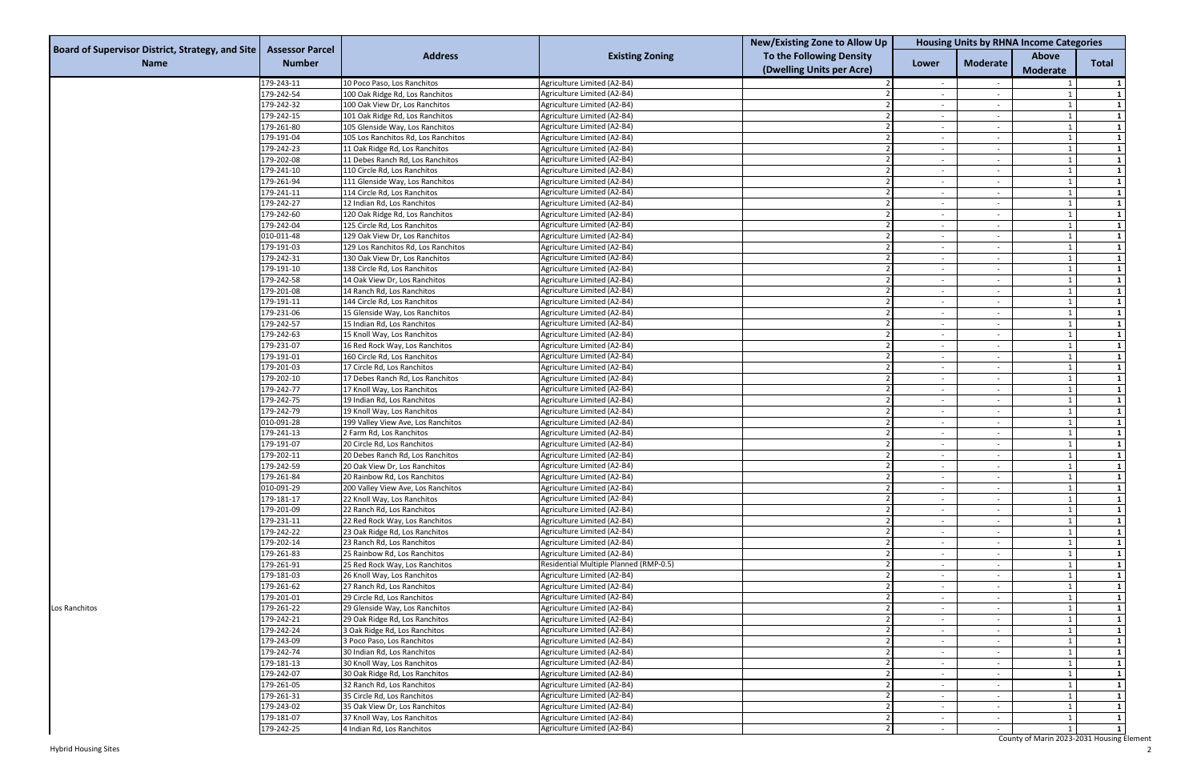|                                                                 | <b>Assessor Parcel</b>   |                                                              | <b>Existing Zoning</b>                                     | New/Existing Zone to Allow Up                         |                          |                          | <b>Housing Units by RHNA Income Categories</b> |              |
|-----------------------------------------------------------------|--------------------------|--------------------------------------------------------------|------------------------------------------------------------|-------------------------------------------------------|--------------------------|--------------------------|------------------------------------------------|--------------|
| Board of Supervisor District, Strategy, and Site<br><b>Name</b> | <b>Number</b>            | <b>Address</b>                                               |                                                            | To the Following Density<br>(Dwelling Units per Acre) | Lower                    | <b>Moderate</b>          | <b>Above</b><br><b>Moderate</b>                | <b>Total</b> |
|                                                                 | 179-243-11               | 10 Poco Paso, Los Ranchitos                                  | Agriculture Limited (A2-B4)                                |                                                       | $\sim$                   |                          |                                                |              |
|                                                                 | 179-242-54               | 100 Oak Ridge Rd, Los Ranchitos                              | Agriculture Limited (A2-B4)                                |                                                       |                          |                          |                                                |              |
|                                                                 | 179-242-32               | 100 Oak View Dr, Los Ranchitos                               | Agriculture Limited (A2-B4)                                |                                                       | $\sim$                   |                          |                                                |              |
|                                                                 | 179-242-15               | 101 Oak Ridge Rd, Los Ranchitos                              | Agriculture Limited (A2-B4)                                |                                                       | $\sim$                   | $\sim$                   |                                                |              |
|                                                                 | 179-261-80               | 105 Glenside Way, Los Ranchitos                              | Agriculture Limited (A2-B4)                                |                                                       | $\sim$                   | $\sim$                   |                                                |              |
|                                                                 | 179-191-04               | 105 Los Ranchitos Rd, Los Ranchitos                          | Agriculture Limited (A2-B4)                                |                                                       | $\sim$                   | $\sim$                   |                                                |              |
|                                                                 | 179-242-23               | 11 Oak Ridge Rd, Los Ranchitos                               | Agriculture Limited (A2-B4)                                |                                                       | $\sim$                   | $\sim$                   |                                                |              |
|                                                                 | 179-202-08               | 11 Debes Ranch Rd, Los Ranchitos                             | Agriculture Limited (A2-B4)                                |                                                       | $\sim$                   |                          |                                                |              |
|                                                                 | 179-241-10               | 110 Circle Rd, Los Ranchitos                                 | Agriculture Limited (A2-B4)                                |                                                       | $\sim$                   | $\overline{\phantom{0}}$ |                                                |              |
|                                                                 | 179-261-94               | 111 Glenside Way, Los Ranchitos                              | Agriculture Limited (A2-B4)                                |                                                       | $\sim$                   | $\sim$                   |                                                |              |
|                                                                 | 179-241-11               | 114 Circle Rd, Los Ranchitos                                 | Agriculture Limited (A2-B4)                                |                                                       | $\sim$                   | $\sim$                   |                                                |              |
|                                                                 | 179-242-27               | 12 Indian Rd, Los Ranchitos                                  | Agriculture Limited (A2-B4)                                |                                                       | $\sim$                   | $\sim$                   |                                                |              |
|                                                                 | 179-242-60               | 120 Oak Ridge Rd, Los Ranchitos                              | Agriculture Limited (A2-B4)                                |                                                       | $\sim$                   | $\sim$                   |                                                |              |
|                                                                 | 179-242-04               | 125 Circle Rd, Los Ranchitos                                 | Agriculture Limited (A2-B4)                                |                                                       | $\sim$                   | $\overline{\phantom{0}}$ |                                                |              |
|                                                                 | 010-011-48               | 129 Oak View Dr, Los Ranchitos                               | Agriculture Limited (A2-B4)                                |                                                       | $\sim$                   | $\overline{\phantom{0}}$ |                                                |              |
|                                                                 | 179-191-03               | 129 Los Ranchitos Rd, Los Ranchitos                          | Agriculture Limited (A2-B4)                                |                                                       | $\sim$                   | $\sim$                   |                                                |              |
|                                                                 | 179-242-31               | 130 Oak View Dr, Los Ranchitos                               | Agriculture Limited (A2-B4)                                |                                                       | $\sim$                   | $\sim$                   |                                                |              |
|                                                                 | 179-191-10               | 138 Circle Rd, Los Ranchitos                                 | Agriculture Limited (A2-B4)                                |                                                       | $\sim$                   | $\sim$                   |                                                |              |
|                                                                 | 179-242-58               | 14 Oak View Dr, Los Ranchitos                                | Agriculture Limited (A2-B4)                                |                                                       | $\sim$                   | $\sim$                   |                                                |              |
|                                                                 | 179-201-08               | 14 Ranch Rd, Los Ranchitos                                   | Agriculture Limited (A2-B4)                                |                                                       | $\sim$                   |                          |                                                |              |
|                                                                 | 179-191-11               | 144 Circle Rd, Los Ranchitos                                 | Agriculture Limited (A2-B4)                                |                                                       | $\sim$                   | $\sim$                   |                                                | $\mathbf{1}$ |
|                                                                 | 179-231-06               | 15 Glenside Way, Los Ranchitos                               | Agriculture Limited (A2-B4)                                |                                                       | $\overline{\phantom{0}}$ |                          |                                                |              |
|                                                                 | 179-242-57               | 15 Indian Rd, Los Ranchitos                                  | Agriculture Limited (A2-B4)                                |                                                       | $\overline{\phantom{0}}$ | $\sim$                   |                                                |              |
|                                                                 | 179-242-63               | 15 Knoll Way, Los Ranchitos                                  | Agriculture Limited (A2-B4)                                |                                                       | $\sim$                   | $\sim$                   |                                                |              |
|                                                                 | 179-231-07               | 16 Red Rock Way, Los Ranchitos                               | Agriculture Limited (A2-B4)                                |                                                       | $\sim$                   | $\sim$                   |                                                |              |
|                                                                 | 179-191-01               | 160 Circle Rd, Los Ranchitos                                 | Agriculture Limited (A2-B4)                                |                                                       | $\sim$                   | $\overline{\phantom{0}}$ |                                                |              |
|                                                                 | 179-201-03               | 17 Circle Rd, Los Ranchitos                                  | Agriculture Limited (A2-B4)                                |                                                       |                          |                          |                                                |              |
|                                                                 | 179-202-10               | 17 Debes Ranch Rd, Los Ranchitos                             | Agriculture Limited (A2-B4)                                |                                                       | $\sim$                   | $\sim$                   |                                                |              |
|                                                                 | 179-242-77               | 17 Knoll Way, Los Ranchitos                                  | Agriculture Limited (A2-B4)                                |                                                       |                          |                          |                                                |              |
|                                                                 | 179-242-75               | 19 Indian Rd, Los Ranchitos                                  | Agriculture Limited (A2-B4)                                |                                                       | $\sim$                   | $\sim$                   |                                                |              |
|                                                                 | 179-242-79               | 19 Knoll Way, Los Ranchitos                                  | Agriculture Limited (A2-B4)                                |                                                       | $\sim$                   | $\sim$                   |                                                |              |
|                                                                 | 010-091-28               | 199 Valley View Ave, Los Ranchitos                           | Agriculture Limited (A2-B4)                                |                                                       | $\overline{\phantom{0}}$ |                          |                                                |              |
|                                                                 | 179-241-13               | 2 Farm Rd, Los Ranchitos                                     | Agriculture Limited (A2-B4)                                |                                                       | $\sim$                   | $\overline{\phantom{0}}$ |                                                |              |
|                                                                 | 179-191-07               | 20 Circle Rd, Los Ranchitos                                  | Agriculture Limited (A2-B4)                                |                                                       | $\sim$                   | $\sim$                   |                                                |              |
|                                                                 | 179-202-11               | 20 Debes Ranch Rd, Los Ranchitos                             | Agriculture Limited (A2-B4)                                |                                                       | $\sim$                   | $\sim$                   |                                                |              |
|                                                                 | 179-242-59               | 20 Oak View Dr, Los Ranchitos                                | Agriculture Limited (A2-B4)                                |                                                       | $\sim$                   | $\sim$                   |                                                |              |
|                                                                 | 179-261-84               | 20 Rainbow Rd, Los Ranchitos                                 | Agriculture Limited (A2-B4)                                |                                                       | $\sim$                   | $\sim$                   |                                                |              |
|                                                                 | 010-091-29               | 200 Valley View Ave, Los Ranchitos                           | Agriculture Limited (A2-B4)                                |                                                       | $\sim$                   | $\overline{\phantom{0}}$ |                                                |              |
|                                                                 | 179-181-17               | 22 Knoll Way, Los Ranchitos                                  | Agriculture Limited (A2-B4)                                |                                                       | $\sim$                   | $\sim$                   |                                                |              |
|                                                                 | 179-201-09               | 22 Ranch Rd, Los Ranchitos                                   | Agriculture Limited (A2-B4)                                |                                                       | $\sim$                   | $\sim$                   |                                                |              |
|                                                                 | 179-231-11               | 22 Red Rock Way, Los Ranchitos                               | Agriculture Limited (A2-B4)                                |                                                       | $\sim$                   | $\sim$                   |                                                |              |
|                                                                 | 179-242-22               | 23 Oak Ridge Rd, Los Ranchitos                               | Agriculture Limited (A2-B4)                                |                                                       | $\sim$                   | $\sim$                   |                                                |              |
|                                                                 | 179-202-14               | 23 Ranch Rd, Los Ranchitos                                   | Agriculture Limited (A2-B4)                                |                                                       | $\sim$                   | $\sim$                   |                                                |              |
|                                                                 | 179-261-83               | 25 Rainbow Rd, Los Ranchitos                                 | Agriculture Limited (A2-B4)                                |                                                       | $\sim$                   | $\overline{\phantom{0}}$ |                                                |              |
|                                                                 | 179-261-91               | 25 Red Rock Way, Los Ranchitos                               | Residential Multiple Planned (RMP-0.5)                     |                                                       | $\sim$                   | $\sim$                   |                                                |              |
|                                                                 | 179-181-03               | 26 Knoll Way, Los Ranchitos                                  | Agriculture Limited (A2-B4)                                |                                                       | $\sim$                   | $\sim$                   |                                                |              |
|                                                                 | 179-261-62               | 27 Ranch Rd, Los Ranchitos                                   | Agriculture Limited (A2-B4)                                |                                                       | $\sim$                   | $\sim$                   |                                                |              |
|                                                                 | 179-201-01               | 29 Circle Rd, Los Ranchitos                                  | Agriculture Limited (A2-B4)                                |                                                       | $\sim$                   | $\sim$                   |                                                |              |
| Los Ranchitos                                                   | 179-261-22               | 29 Glenside Way, Los Ranchitos                               | Agriculture Limited (A2-B4)<br>Agriculture Limited (A2-B4) |                                                       | $\sim$                   | $\sim$                   |                                                |              |
|                                                                 | 179-242-21               | 29 Oak Ridge Rd, Los Ranchitos                               | Agriculture Limited (A2-B4)                                |                                                       | $\sim$                   | $\sim$                   |                                                |              |
|                                                                 | 179-242-24               | 3 Oak Ridge Rd, Los Ranchitos                                |                                                            |                                                       | $\sim$                   | $\sim$                   |                                                |              |
|                                                                 | 179-243-09<br>179-242-74 | 3 Poco Paso, Los Ranchitos<br>30 Indian Rd, Los Ranchitos    | Agriculture Limited (A2-B4)<br>Agriculture Limited (A2-B4) |                                                       | $\sim$                   | $\sim$                   |                                                |              |
|                                                                 | 179-181-13               |                                                              | Agriculture Limited (A2-B4)                                |                                                       | $\sim$                   | $\sim$                   |                                                |              |
|                                                                 | 179-242-07               | 30 Knoll Way, Los Ranchitos                                  | Agriculture Limited (A2-B4)                                |                                                       | $\sim$                   | $\sim$                   |                                                |              |
|                                                                 | 179-261-05               | 30 Oak Ridge Rd, Los Ranchitos<br>32 Ranch Rd, Los Ranchitos | Agriculture Limited (A2-B4)                                |                                                       | $\sim$                   | $\sim$                   |                                                |              |
|                                                                 | 179-261-31               |                                                              | Agriculture Limited (A2-B4)                                |                                                       |                          |                          |                                                |              |
|                                                                 | 179-243-02               | 35 Circle Rd, Los Ranchitos<br>35 Oak View Dr, Los Ranchitos | Agriculture Limited (A2-B4)                                |                                                       | $\sim$                   | $\overline{\phantom{0}}$ |                                                |              |
|                                                                 | 179-181-07               | 37 Knoll Way, Los Ranchitos                                  | Agriculture Limited (A2-B4)                                |                                                       |                          | $\sim$                   |                                                |              |
|                                                                 | 179-242-25               | 4 Indian Rd, Los Ranchitos                                   | Agriculture Limited (A2-B4)                                |                                                       | $\sim$                   | $\sim$                   |                                                | $\mathbf{1}$ |
|                                                                 |                          |                                                              |                                                            |                                                       | $\sim$                   | $\sim$                   |                                                | $\mathbf{1}$ |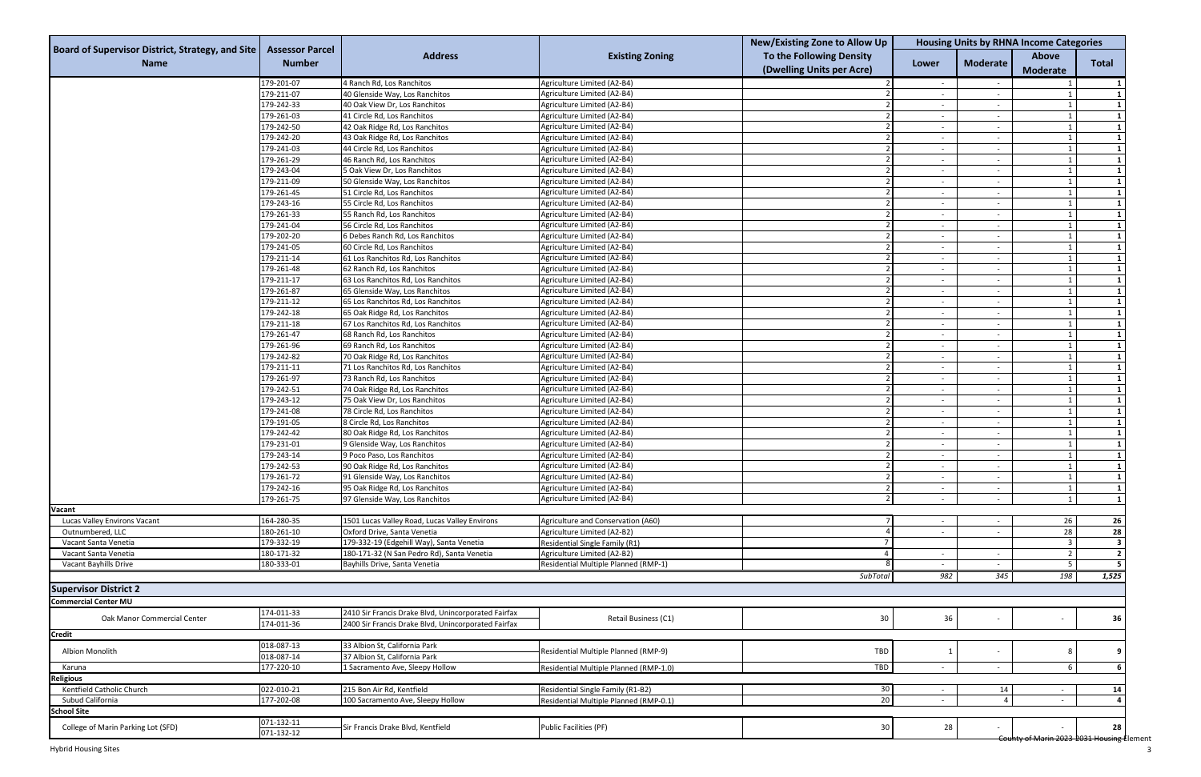| <b>Board of Supervisor District, Strategy, and Site</b><br><b>Assessor Parcel</b><br><b>Address</b><br><b>Existing Zoning</b><br>To the Following Density<br><b>Above</b><br><b>Moderate</b><br><b>Number</b><br><b>Total</b><br><b>Name</b><br>Lower<br>(Dwelling Units per Acre)<br>Moderate<br>179-201-07<br>4 Ranch Rd, Los Ranchitos<br>Agriculture Limited (A2-B4)<br>$\sim$<br>40 Glenside Way, Los Ranchitos<br>Agriculture Limited (A2-B4)<br>179-211-07<br>179-242-33<br>40 Oak View Dr, Los Ranchitos<br>Agriculture Limited (A2-B4)<br>$\sim$<br>$\overline{\phantom{a}}$<br>179-261-03<br>41 Circle Rd, Los Ranchitos<br>Agriculture Limited (A2-B4)<br>$\sim$<br>$\overline{\phantom{a}}$<br>179-242-50<br>42 Oak Ridge Rd, Los Ranchitos<br>Agriculture Limited (A2-B4)<br>$\sim$<br>179-242-20<br>Agriculture Limited (A2-B4)<br>43 Oak Ridge Rd, Los Ranchitos<br>$\sim$<br>179-241-03<br>Agriculture Limited (A2-B4)<br>44 Circle Rd, Los Ranchitos<br>$\sim$<br>$\sim$<br>179-261-29<br>46 Ranch Rd, Los Ranchitos<br>Agriculture Limited (A2-B4)<br>$\overline{\phantom{0}}$<br>Agriculture Limited (A2-B4)<br>179-243-04<br>5 Oak View Dr, Los Ranchitos<br>$\sim$<br>$\sim$<br>179-211-09<br>50 Glenside Way, Los Ranchitos<br>Agriculture Limited (A2-B4)<br>$\overline{\phantom{a}}$<br>179-261-45<br>Agriculture Limited (A2-B4)<br>51 Circle Rd, Los Ranchitos<br>$\sim$<br>179-243-16<br>Agriculture Limited (A2-B4)<br>55 Circle Rd, Los Ranchitos<br>$\sim$<br>179-261-33<br>Agriculture Limited (A2-B4)<br>55 Ranch Rd, Los Ranchitos<br>$\sim$<br>$\sim$<br>179-241-04<br>56 Circle Rd, Los Ranchitos<br>Agriculture Limited (A2-B4)<br>$\overline{\phantom{a}}$<br>179-202-20<br>6 Debes Ranch Rd, Los Ranchitos<br>Agriculture Limited (A2-B4)<br>$\sim$<br>179-241-05<br>60 Circle Rd, Los Ranchitos<br>Agriculture Limited (A2-B4)<br>$\sim$<br>179-211-14<br>Agriculture Limited (A2-B4)<br>61 Los Ranchitos Rd, Los Ranchitos<br>$\sim$<br>179-261-48<br>62 Ranch Rd, Los Ranchitos<br>Agriculture Limited (A2-B4)<br>$\sim$<br>$\overline{\phantom{0}}$<br>179-211-17<br>Agriculture Limited (A2-B4)<br>63 Los Ranchitos Rd, Los Ranchitos<br>$\overline{\phantom{0}}$<br>179-261-87<br>65 Glenside Way, Los Ranchitos<br>Agriculture Limited (A2-B4)<br>$-$<br>179-211-12<br>Agriculture Limited (A2-B4)<br>65 Los Ranchitos Rd, Los Ranchitos<br>$\sim$<br>179-242-18<br>Agriculture Limited (A2-B4)<br>65 Oak Ridge Rd, Los Ranchitos<br>$\sim$<br>$\overline{\phantom{a}}$<br>Agriculture Limited (A2-B4)<br>179-211-18<br>67 Los Ranchitos Rd, Los Ranchitos<br>$\sim$<br>$\sim$<br>179-261-47<br>68 Ranch Rd, Los Ranchitos<br>Agriculture Limited (A2-B4)<br>$\overline{\phantom{0}}$<br>179-261-96<br>Agriculture Limited (A2-B4)<br>69 Ranch Rd, Los Ranchitos<br>$\sim$<br>$\sim$<br>179-242-82<br>Agriculture Limited (A2-B4)<br>70 Oak Ridge Rd, Los Ranchitos<br>179-211-11<br>Agriculture Limited (A2-B4)<br>71 Los Ranchitos Rd, Los Ranchitos<br>$\sim$<br>Agriculture Limited (A2-B4)<br>179-261-97<br>73 Ranch Rd, Los Ranchitos<br>$\sim$<br>Agriculture Limited (A2-B4)<br>179-242-51<br>74 Oak Ridge Rd, Los Ranchitos<br>Agriculture Limited (A2-B4)<br>179-243-12<br>75 Oak View Dr, Los Ranchitos<br>$\sim$<br>$\overline{\phantom{a}}$<br>179-241-08<br>78 Circle Rd, Los Ranchitos<br>Agriculture Limited (A2-B4)<br>$\sim$<br>$-$<br>Agriculture Limited (A2-B4)<br>179-191-05<br>8 Circle Rd, Los Ranchitos<br>$\sim$<br>179-242-42<br>Agriculture Limited (A2-B4)<br>80 Oak Ridge Rd, Los Ranchitos<br>$\sim$<br>179-231-01<br>9 Glenside Way, Los Ranchitos<br>Agriculture Limited (A2-B4)<br>$\sim$<br>Agriculture Limited (A2-B4)<br>179-243-14<br>9 Poco Paso, Los Ranchitos<br>179-242-53<br>Agriculture Limited (A2-B4)<br>90 Oak Ridge Rd, Los Ranchitos<br>$\sim$<br>Agriculture Limited (A2-B4)<br>179-261-72<br>91 Glenside Way, Los Ranchitos<br>$\sim$<br>179-242-16<br>95 Oak Ridge Rd, Los Ranchitos<br>Agriculture Limited (A2-B4)<br>$\sim$<br>$\sim$<br>Agriculture Limited (A2-B4)<br>179-261-75<br>97 Glenside Way, Los Ranchitos<br>$\overline{\phantom{a}}$<br>$\overline{\phantom{a}}$<br>164-280-35<br>26<br>26<br>Lucas Valley Environs Vacant<br>1501 Lucas Valley Road, Lucas Valley Environs<br>Agriculture and Conservation (A60)<br>28<br>28<br>180-261-10<br>Oxford Drive, Santa Venetia<br>Agriculture Limited (A2-B2)<br>Outnumbered, LLC<br>$\sim$<br>179-332-19 (Edgehill Way), Santa Venetia<br>179-332-19<br>$\overline{\mathbf{3}}$<br>Vacant Santa Venetia<br>Residential Single Family (R1)<br>180-171-32<br>180-171-32 (N San Pedro Rd), Santa Venetia<br>$\overline{2}$<br>Vacant Santa Venetia<br>Agriculture Limited (A2-B2)<br>$\sim$<br>$\sim$<br>Vacant Bayhills Drive<br>180-333-01<br>Residential Multiple Planned (RMP-1)<br>5<br>Bayhills Drive, Santa Venetia<br>$\sim$<br>$\sim$<br>982<br>345<br>198<br>1,525<br><b>SubTotal</b><br><b>Supervisor District 2</b><br><b>Commercial Center MU</b><br>174-011-33<br>2410 Sir Francis Drake Blvd, Unincorporated Fairfax<br>30<br>36<br>Retail Business (C1)<br>36<br>Oak Manor Commercial Center<br>174-011-36<br>2400 Sir Francis Drake Blvd, Unincorporated Fairfax<br><b>Credit</b><br>018-087-13<br>33 Albion St, California Park<br>TBD<br>Albion Monolith<br>Residential Multiple Planned (RMP-9)<br>9<br>018-087-14<br>37 Albion St, California Park<br>TBD<br>177-220-10<br>1 Sacramento Ave, Sleepy Hollow<br>Karuna<br>Residential Multiple Planned (RMP-1.0)<br>$\sim$<br>$\overline{\phantom{0}}$<br><b>Religious</b><br>30<br>Kentfield Catholic Church<br>022-010-21<br>215 Bon Air Rd, Kentfield<br>14<br>Residential Single Family (R1-B2)<br>14<br>$\sim$<br>$\sim$<br>20<br>Subud California<br>100 Sacramento Ave, Sleepy Hollow<br>Residential Multiple Planned (RMP-0.1)<br>177-202-08<br>$\overline{a}$<br><b>School Site</b><br>071-132-11<br>Public Facilities (PF)<br>College of Marin Parking Lot (SFD)<br>Sir Francis Drake Blvd, Kentfield<br>30<br>28<br>28 |               |            |  | New/Existing Zone to Allow Up | <b>Housing Units by RHNA Income Categories</b> |  |  |  |
|---------------------------------------------------------------------------------------------------------------------------------------------------------------------------------------------------------------------------------------------------------------------------------------------------------------------------------------------------------------------------------------------------------------------------------------------------------------------------------------------------------------------------------------------------------------------------------------------------------------------------------------------------------------------------------------------------------------------------------------------------------------------------------------------------------------------------------------------------------------------------------------------------------------------------------------------------------------------------------------------------------------------------------------------------------------------------------------------------------------------------------------------------------------------------------------------------------------------------------------------------------------------------------------------------------------------------------------------------------------------------------------------------------------------------------------------------------------------------------------------------------------------------------------------------------------------------------------------------------------------------------------------------------------------------------------------------------------------------------------------------------------------------------------------------------------------------------------------------------------------------------------------------------------------------------------------------------------------------------------------------------------------------------------------------------------------------------------------------------------------------------------------------------------------------------------------------------------------------------------------------------------------------------------------------------------------------------------------------------------------------------------------------------------------------------------------------------------------------------------------------------------------------------------------------------------------------------------------------------------------------------------------------------------------------------------------------------------------------------------------------------------------------------------------------------------------------------------------------------------------------------------------------------------------------------------------------------------------------------------------------------------------------------------------------------------------------------------------------------------------------------------------------------------------------------------------------------------------------------------------------------------------------------------------------------------------------------------------------------------------------------------------------------------------------------------------------------------------------------------------------------------------------------------------------------------------------------------------------------------------------------------------------------------------------------------------------------------------------------------------------------------------------------------------------------------------------------------------------------------------------------------------------------------------------------------------------------------------------------------------------------------------------------------------------------------------------------------------------------------------------------------------------------------------------------------------------------------------------------------------------------------------------------------------------------------------------------------------------------------------------------------------------------------------------------------------------------------------------------------------------------------------------------------------------------------------------------------------------------------------------------------------------------------------------------------------------------------------------------------------------------------------------------------------------------------------------------------------------------------------------------------------------------------------------------------------------------------------------------------------------------------------------------------------------------------------------------------------------------------------------------------------------------------------------------------------------------------------------------------------------------------------------------------------------------------------------------------------------------------------------------------------------------------------------------------------------------------------------------------------------------------------------------------------------------------------------------------------------------------------------------------------------------------------------------------------------------------------------------------------------------------------------------------------------------------------------------------------------------------------------------------------------------------------------------------------------------------------------------------------------------------------------------------------------------------|---------------|------------|--|-------------------------------|------------------------------------------------|--|--|--|
|                                                                                                                                                                                                                                                                                                                                                                                                                                                                                                                                                                                                                                                                                                                                                                                                                                                                                                                                                                                                                                                                                                                                                                                                                                                                                                                                                                                                                                                                                                                                                                                                                                                                                                                                                                                                                                                                                                                                                                                                                                                                                                                                                                                                                                                                                                                                                                                                                                                                                                                                                                                                                                                                                                                                                                                                                                                                                                                                                                                                                                                                                                                                                                                                                                                                                                                                                                                                                                                                                                                                                                                                                                                                                                                                                                                                                                                                                                                                                                                                                                                                                                                                                                                                                                                                                                                                                                                                                                                                                                                                                                                                                                                                                                                                                                                                                                                                                                                                                                                                                                                                                                                                                                                                                                                                                                                                                                                                                                                                                                                                                                                                                                                                                                                                                                                                                                                                                                                                                                                                                                                               |               |            |  |                               |                                                |  |  |  |
|                                                                                                                                                                                                                                                                                                                                                                                                                                                                                                                                                                                                                                                                                                                                                                                                                                                                                                                                                                                                                                                                                                                                                                                                                                                                                                                                                                                                                                                                                                                                                                                                                                                                                                                                                                                                                                                                                                                                                                                                                                                                                                                                                                                                                                                                                                                                                                                                                                                                                                                                                                                                                                                                                                                                                                                                                                                                                                                                                                                                                                                                                                                                                                                                                                                                                                                                                                                                                                                                                                                                                                                                                                                                                                                                                                                                                                                                                                                                                                                                                                                                                                                                                                                                                                                                                                                                                                                                                                                                                                                                                                                                                                                                                                                                                                                                                                                                                                                                                                                                                                                                                                                                                                                                                                                                                                                                                                                                                                                                                                                                                                                                                                                                                                                                                                                                                                                                                                                                                                                                                                                               |               |            |  |                               |                                                |  |  |  |
|                                                                                                                                                                                                                                                                                                                                                                                                                                                                                                                                                                                                                                                                                                                                                                                                                                                                                                                                                                                                                                                                                                                                                                                                                                                                                                                                                                                                                                                                                                                                                                                                                                                                                                                                                                                                                                                                                                                                                                                                                                                                                                                                                                                                                                                                                                                                                                                                                                                                                                                                                                                                                                                                                                                                                                                                                                                                                                                                                                                                                                                                                                                                                                                                                                                                                                                                                                                                                                                                                                                                                                                                                                                                                                                                                                                                                                                                                                                                                                                                                                                                                                                                                                                                                                                                                                                                                                                                                                                                                                                                                                                                                                                                                                                                                                                                                                                                                                                                                                                                                                                                                                                                                                                                                                                                                                                                                                                                                                                                                                                                                                                                                                                                                                                                                                                                                                                                                                                                                                                                                                                               |               |            |  |                               |                                                |  |  |  |
|                                                                                                                                                                                                                                                                                                                                                                                                                                                                                                                                                                                                                                                                                                                                                                                                                                                                                                                                                                                                                                                                                                                                                                                                                                                                                                                                                                                                                                                                                                                                                                                                                                                                                                                                                                                                                                                                                                                                                                                                                                                                                                                                                                                                                                                                                                                                                                                                                                                                                                                                                                                                                                                                                                                                                                                                                                                                                                                                                                                                                                                                                                                                                                                                                                                                                                                                                                                                                                                                                                                                                                                                                                                                                                                                                                                                                                                                                                                                                                                                                                                                                                                                                                                                                                                                                                                                                                                                                                                                                                                                                                                                                                                                                                                                                                                                                                                                                                                                                                                                                                                                                                                                                                                                                                                                                                                                                                                                                                                                                                                                                                                                                                                                                                                                                                                                                                                                                                                                                                                                                                                               |               |            |  |                               |                                                |  |  |  |
|                                                                                                                                                                                                                                                                                                                                                                                                                                                                                                                                                                                                                                                                                                                                                                                                                                                                                                                                                                                                                                                                                                                                                                                                                                                                                                                                                                                                                                                                                                                                                                                                                                                                                                                                                                                                                                                                                                                                                                                                                                                                                                                                                                                                                                                                                                                                                                                                                                                                                                                                                                                                                                                                                                                                                                                                                                                                                                                                                                                                                                                                                                                                                                                                                                                                                                                                                                                                                                                                                                                                                                                                                                                                                                                                                                                                                                                                                                                                                                                                                                                                                                                                                                                                                                                                                                                                                                                                                                                                                                                                                                                                                                                                                                                                                                                                                                                                                                                                                                                                                                                                                                                                                                                                                                                                                                                                                                                                                                                                                                                                                                                                                                                                                                                                                                                                                                                                                                                                                                                                                                                               |               |            |  |                               |                                                |  |  |  |
|                                                                                                                                                                                                                                                                                                                                                                                                                                                                                                                                                                                                                                                                                                                                                                                                                                                                                                                                                                                                                                                                                                                                                                                                                                                                                                                                                                                                                                                                                                                                                                                                                                                                                                                                                                                                                                                                                                                                                                                                                                                                                                                                                                                                                                                                                                                                                                                                                                                                                                                                                                                                                                                                                                                                                                                                                                                                                                                                                                                                                                                                                                                                                                                                                                                                                                                                                                                                                                                                                                                                                                                                                                                                                                                                                                                                                                                                                                                                                                                                                                                                                                                                                                                                                                                                                                                                                                                                                                                                                                                                                                                                                                                                                                                                                                                                                                                                                                                                                                                                                                                                                                                                                                                                                                                                                                                                                                                                                                                                                                                                                                                                                                                                                                                                                                                                                                                                                                                                                                                                                                                               |               |            |  |                               |                                                |  |  |  |
|                                                                                                                                                                                                                                                                                                                                                                                                                                                                                                                                                                                                                                                                                                                                                                                                                                                                                                                                                                                                                                                                                                                                                                                                                                                                                                                                                                                                                                                                                                                                                                                                                                                                                                                                                                                                                                                                                                                                                                                                                                                                                                                                                                                                                                                                                                                                                                                                                                                                                                                                                                                                                                                                                                                                                                                                                                                                                                                                                                                                                                                                                                                                                                                                                                                                                                                                                                                                                                                                                                                                                                                                                                                                                                                                                                                                                                                                                                                                                                                                                                                                                                                                                                                                                                                                                                                                                                                                                                                                                                                                                                                                                                                                                                                                                                                                                                                                                                                                                                                                                                                                                                                                                                                                                                                                                                                                                                                                                                                                                                                                                                                                                                                                                                                                                                                                                                                                                                                                                                                                                                                               |               |            |  |                               |                                                |  |  |  |
|                                                                                                                                                                                                                                                                                                                                                                                                                                                                                                                                                                                                                                                                                                                                                                                                                                                                                                                                                                                                                                                                                                                                                                                                                                                                                                                                                                                                                                                                                                                                                                                                                                                                                                                                                                                                                                                                                                                                                                                                                                                                                                                                                                                                                                                                                                                                                                                                                                                                                                                                                                                                                                                                                                                                                                                                                                                                                                                                                                                                                                                                                                                                                                                                                                                                                                                                                                                                                                                                                                                                                                                                                                                                                                                                                                                                                                                                                                                                                                                                                                                                                                                                                                                                                                                                                                                                                                                                                                                                                                                                                                                                                                                                                                                                                                                                                                                                                                                                                                                                                                                                                                                                                                                                                                                                                                                                                                                                                                                                                                                                                                                                                                                                                                                                                                                                                                                                                                                                                                                                                                                               |               |            |  |                               |                                                |  |  |  |
|                                                                                                                                                                                                                                                                                                                                                                                                                                                                                                                                                                                                                                                                                                                                                                                                                                                                                                                                                                                                                                                                                                                                                                                                                                                                                                                                                                                                                                                                                                                                                                                                                                                                                                                                                                                                                                                                                                                                                                                                                                                                                                                                                                                                                                                                                                                                                                                                                                                                                                                                                                                                                                                                                                                                                                                                                                                                                                                                                                                                                                                                                                                                                                                                                                                                                                                                                                                                                                                                                                                                                                                                                                                                                                                                                                                                                                                                                                                                                                                                                                                                                                                                                                                                                                                                                                                                                                                                                                                                                                                                                                                                                                                                                                                                                                                                                                                                                                                                                                                                                                                                                                                                                                                                                                                                                                                                                                                                                                                                                                                                                                                                                                                                                                                                                                                                                                                                                                                                                                                                                                                               |               |            |  |                               |                                                |  |  |  |
|                                                                                                                                                                                                                                                                                                                                                                                                                                                                                                                                                                                                                                                                                                                                                                                                                                                                                                                                                                                                                                                                                                                                                                                                                                                                                                                                                                                                                                                                                                                                                                                                                                                                                                                                                                                                                                                                                                                                                                                                                                                                                                                                                                                                                                                                                                                                                                                                                                                                                                                                                                                                                                                                                                                                                                                                                                                                                                                                                                                                                                                                                                                                                                                                                                                                                                                                                                                                                                                                                                                                                                                                                                                                                                                                                                                                                                                                                                                                                                                                                                                                                                                                                                                                                                                                                                                                                                                                                                                                                                                                                                                                                                                                                                                                                                                                                                                                                                                                                                                                                                                                                                                                                                                                                                                                                                                                                                                                                                                                                                                                                                                                                                                                                                                                                                                                                                                                                                                                                                                                                                                               |               |            |  |                               |                                                |  |  |  |
|                                                                                                                                                                                                                                                                                                                                                                                                                                                                                                                                                                                                                                                                                                                                                                                                                                                                                                                                                                                                                                                                                                                                                                                                                                                                                                                                                                                                                                                                                                                                                                                                                                                                                                                                                                                                                                                                                                                                                                                                                                                                                                                                                                                                                                                                                                                                                                                                                                                                                                                                                                                                                                                                                                                                                                                                                                                                                                                                                                                                                                                                                                                                                                                                                                                                                                                                                                                                                                                                                                                                                                                                                                                                                                                                                                                                                                                                                                                                                                                                                                                                                                                                                                                                                                                                                                                                                                                                                                                                                                                                                                                                                                                                                                                                                                                                                                                                                                                                                                                                                                                                                                                                                                                                                                                                                                                                                                                                                                                                                                                                                                                                                                                                                                                                                                                                                                                                                                                                                                                                                                                               |               |            |  |                               |                                                |  |  |  |
|                                                                                                                                                                                                                                                                                                                                                                                                                                                                                                                                                                                                                                                                                                                                                                                                                                                                                                                                                                                                                                                                                                                                                                                                                                                                                                                                                                                                                                                                                                                                                                                                                                                                                                                                                                                                                                                                                                                                                                                                                                                                                                                                                                                                                                                                                                                                                                                                                                                                                                                                                                                                                                                                                                                                                                                                                                                                                                                                                                                                                                                                                                                                                                                                                                                                                                                                                                                                                                                                                                                                                                                                                                                                                                                                                                                                                                                                                                                                                                                                                                                                                                                                                                                                                                                                                                                                                                                                                                                                                                                                                                                                                                                                                                                                                                                                                                                                                                                                                                                                                                                                                                                                                                                                                                                                                                                                                                                                                                                                                                                                                                                                                                                                                                                                                                                                                                                                                                                                                                                                                                                               |               |            |  |                               |                                                |  |  |  |
|                                                                                                                                                                                                                                                                                                                                                                                                                                                                                                                                                                                                                                                                                                                                                                                                                                                                                                                                                                                                                                                                                                                                                                                                                                                                                                                                                                                                                                                                                                                                                                                                                                                                                                                                                                                                                                                                                                                                                                                                                                                                                                                                                                                                                                                                                                                                                                                                                                                                                                                                                                                                                                                                                                                                                                                                                                                                                                                                                                                                                                                                                                                                                                                                                                                                                                                                                                                                                                                                                                                                                                                                                                                                                                                                                                                                                                                                                                                                                                                                                                                                                                                                                                                                                                                                                                                                                                                                                                                                                                                                                                                                                                                                                                                                                                                                                                                                                                                                                                                                                                                                                                                                                                                                                                                                                                                                                                                                                                                                                                                                                                                                                                                                                                                                                                                                                                                                                                                                                                                                                                                               |               |            |  |                               |                                                |  |  |  |
|                                                                                                                                                                                                                                                                                                                                                                                                                                                                                                                                                                                                                                                                                                                                                                                                                                                                                                                                                                                                                                                                                                                                                                                                                                                                                                                                                                                                                                                                                                                                                                                                                                                                                                                                                                                                                                                                                                                                                                                                                                                                                                                                                                                                                                                                                                                                                                                                                                                                                                                                                                                                                                                                                                                                                                                                                                                                                                                                                                                                                                                                                                                                                                                                                                                                                                                                                                                                                                                                                                                                                                                                                                                                                                                                                                                                                                                                                                                                                                                                                                                                                                                                                                                                                                                                                                                                                                                                                                                                                                                                                                                                                                                                                                                                                                                                                                                                                                                                                                                                                                                                                                                                                                                                                                                                                                                                                                                                                                                                                                                                                                                                                                                                                                                                                                                                                                                                                                                                                                                                                                                               |               |            |  |                               |                                                |  |  |  |
|                                                                                                                                                                                                                                                                                                                                                                                                                                                                                                                                                                                                                                                                                                                                                                                                                                                                                                                                                                                                                                                                                                                                                                                                                                                                                                                                                                                                                                                                                                                                                                                                                                                                                                                                                                                                                                                                                                                                                                                                                                                                                                                                                                                                                                                                                                                                                                                                                                                                                                                                                                                                                                                                                                                                                                                                                                                                                                                                                                                                                                                                                                                                                                                                                                                                                                                                                                                                                                                                                                                                                                                                                                                                                                                                                                                                                                                                                                                                                                                                                                                                                                                                                                                                                                                                                                                                                                                                                                                                                                                                                                                                                                                                                                                                                                                                                                                                                                                                                                                                                                                                                                                                                                                                                                                                                                                                                                                                                                                                                                                                                                                                                                                                                                                                                                                                                                                                                                                                                                                                                                                               |               |            |  |                               |                                                |  |  |  |
|                                                                                                                                                                                                                                                                                                                                                                                                                                                                                                                                                                                                                                                                                                                                                                                                                                                                                                                                                                                                                                                                                                                                                                                                                                                                                                                                                                                                                                                                                                                                                                                                                                                                                                                                                                                                                                                                                                                                                                                                                                                                                                                                                                                                                                                                                                                                                                                                                                                                                                                                                                                                                                                                                                                                                                                                                                                                                                                                                                                                                                                                                                                                                                                                                                                                                                                                                                                                                                                                                                                                                                                                                                                                                                                                                                                                                                                                                                                                                                                                                                                                                                                                                                                                                                                                                                                                                                                                                                                                                                                                                                                                                                                                                                                                                                                                                                                                                                                                                                                                                                                                                                                                                                                                                                                                                                                                                                                                                                                                                                                                                                                                                                                                                                                                                                                                                                                                                                                                                                                                                                                               |               |            |  |                               |                                                |  |  |  |
|                                                                                                                                                                                                                                                                                                                                                                                                                                                                                                                                                                                                                                                                                                                                                                                                                                                                                                                                                                                                                                                                                                                                                                                                                                                                                                                                                                                                                                                                                                                                                                                                                                                                                                                                                                                                                                                                                                                                                                                                                                                                                                                                                                                                                                                                                                                                                                                                                                                                                                                                                                                                                                                                                                                                                                                                                                                                                                                                                                                                                                                                                                                                                                                                                                                                                                                                                                                                                                                                                                                                                                                                                                                                                                                                                                                                                                                                                                                                                                                                                                                                                                                                                                                                                                                                                                                                                                                                                                                                                                                                                                                                                                                                                                                                                                                                                                                                                                                                                                                                                                                                                                                                                                                                                                                                                                                                                                                                                                                                                                                                                                                                                                                                                                                                                                                                                                                                                                                                                                                                                                                               |               |            |  |                               |                                                |  |  |  |
|                                                                                                                                                                                                                                                                                                                                                                                                                                                                                                                                                                                                                                                                                                                                                                                                                                                                                                                                                                                                                                                                                                                                                                                                                                                                                                                                                                                                                                                                                                                                                                                                                                                                                                                                                                                                                                                                                                                                                                                                                                                                                                                                                                                                                                                                                                                                                                                                                                                                                                                                                                                                                                                                                                                                                                                                                                                                                                                                                                                                                                                                                                                                                                                                                                                                                                                                                                                                                                                                                                                                                                                                                                                                                                                                                                                                                                                                                                                                                                                                                                                                                                                                                                                                                                                                                                                                                                                                                                                                                                                                                                                                                                                                                                                                                                                                                                                                                                                                                                                                                                                                                                                                                                                                                                                                                                                                                                                                                                                                                                                                                                                                                                                                                                                                                                                                                                                                                                                                                                                                                                                               |               |            |  |                               |                                                |  |  |  |
|                                                                                                                                                                                                                                                                                                                                                                                                                                                                                                                                                                                                                                                                                                                                                                                                                                                                                                                                                                                                                                                                                                                                                                                                                                                                                                                                                                                                                                                                                                                                                                                                                                                                                                                                                                                                                                                                                                                                                                                                                                                                                                                                                                                                                                                                                                                                                                                                                                                                                                                                                                                                                                                                                                                                                                                                                                                                                                                                                                                                                                                                                                                                                                                                                                                                                                                                                                                                                                                                                                                                                                                                                                                                                                                                                                                                                                                                                                                                                                                                                                                                                                                                                                                                                                                                                                                                                                                                                                                                                                                                                                                                                                                                                                                                                                                                                                                                                                                                                                                                                                                                                                                                                                                                                                                                                                                                                                                                                                                                                                                                                                                                                                                                                                                                                                                                                                                                                                                                                                                                                                                               |               |            |  |                               |                                                |  |  |  |
|                                                                                                                                                                                                                                                                                                                                                                                                                                                                                                                                                                                                                                                                                                                                                                                                                                                                                                                                                                                                                                                                                                                                                                                                                                                                                                                                                                                                                                                                                                                                                                                                                                                                                                                                                                                                                                                                                                                                                                                                                                                                                                                                                                                                                                                                                                                                                                                                                                                                                                                                                                                                                                                                                                                                                                                                                                                                                                                                                                                                                                                                                                                                                                                                                                                                                                                                                                                                                                                                                                                                                                                                                                                                                                                                                                                                                                                                                                                                                                                                                                                                                                                                                                                                                                                                                                                                                                                                                                                                                                                                                                                                                                                                                                                                                                                                                                                                                                                                                                                                                                                                                                                                                                                                                                                                                                                                                                                                                                                                                                                                                                                                                                                                                                                                                                                                                                                                                                                                                                                                                                                               |               |            |  |                               |                                                |  |  |  |
|                                                                                                                                                                                                                                                                                                                                                                                                                                                                                                                                                                                                                                                                                                                                                                                                                                                                                                                                                                                                                                                                                                                                                                                                                                                                                                                                                                                                                                                                                                                                                                                                                                                                                                                                                                                                                                                                                                                                                                                                                                                                                                                                                                                                                                                                                                                                                                                                                                                                                                                                                                                                                                                                                                                                                                                                                                                                                                                                                                                                                                                                                                                                                                                                                                                                                                                                                                                                                                                                                                                                                                                                                                                                                                                                                                                                                                                                                                                                                                                                                                                                                                                                                                                                                                                                                                                                                                                                                                                                                                                                                                                                                                                                                                                                                                                                                                                                                                                                                                                                                                                                                                                                                                                                                                                                                                                                                                                                                                                                                                                                                                                                                                                                                                                                                                                                                                                                                                                                                                                                                                                               |               |            |  |                               |                                                |  |  |  |
|                                                                                                                                                                                                                                                                                                                                                                                                                                                                                                                                                                                                                                                                                                                                                                                                                                                                                                                                                                                                                                                                                                                                                                                                                                                                                                                                                                                                                                                                                                                                                                                                                                                                                                                                                                                                                                                                                                                                                                                                                                                                                                                                                                                                                                                                                                                                                                                                                                                                                                                                                                                                                                                                                                                                                                                                                                                                                                                                                                                                                                                                                                                                                                                                                                                                                                                                                                                                                                                                                                                                                                                                                                                                                                                                                                                                                                                                                                                                                                                                                                                                                                                                                                                                                                                                                                                                                                                                                                                                                                                                                                                                                                                                                                                                                                                                                                                                                                                                                                                                                                                                                                                                                                                                                                                                                                                                                                                                                                                                                                                                                                                                                                                                                                                                                                                                                                                                                                                                                                                                                                                               |               |            |  |                               |                                                |  |  |  |
|                                                                                                                                                                                                                                                                                                                                                                                                                                                                                                                                                                                                                                                                                                                                                                                                                                                                                                                                                                                                                                                                                                                                                                                                                                                                                                                                                                                                                                                                                                                                                                                                                                                                                                                                                                                                                                                                                                                                                                                                                                                                                                                                                                                                                                                                                                                                                                                                                                                                                                                                                                                                                                                                                                                                                                                                                                                                                                                                                                                                                                                                                                                                                                                                                                                                                                                                                                                                                                                                                                                                                                                                                                                                                                                                                                                                                                                                                                                                                                                                                                                                                                                                                                                                                                                                                                                                                                                                                                                                                                                                                                                                                                                                                                                                                                                                                                                                                                                                                                                                                                                                                                                                                                                                                                                                                                                                                                                                                                                                                                                                                                                                                                                                                                                                                                                                                                                                                                                                                                                                                                                               |               |            |  |                               |                                                |  |  |  |
|                                                                                                                                                                                                                                                                                                                                                                                                                                                                                                                                                                                                                                                                                                                                                                                                                                                                                                                                                                                                                                                                                                                                                                                                                                                                                                                                                                                                                                                                                                                                                                                                                                                                                                                                                                                                                                                                                                                                                                                                                                                                                                                                                                                                                                                                                                                                                                                                                                                                                                                                                                                                                                                                                                                                                                                                                                                                                                                                                                                                                                                                                                                                                                                                                                                                                                                                                                                                                                                                                                                                                                                                                                                                                                                                                                                                                                                                                                                                                                                                                                                                                                                                                                                                                                                                                                                                                                                                                                                                                                                                                                                                                                                                                                                                                                                                                                                                                                                                                                                                                                                                                                                                                                                                                                                                                                                                                                                                                                                                                                                                                                                                                                                                                                                                                                                                                                                                                                                                                                                                                                                               |               |            |  |                               |                                                |  |  |  |
|                                                                                                                                                                                                                                                                                                                                                                                                                                                                                                                                                                                                                                                                                                                                                                                                                                                                                                                                                                                                                                                                                                                                                                                                                                                                                                                                                                                                                                                                                                                                                                                                                                                                                                                                                                                                                                                                                                                                                                                                                                                                                                                                                                                                                                                                                                                                                                                                                                                                                                                                                                                                                                                                                                                                                                                                                                                                                                                                                                                                                                                                                                                                                                                                                                                                                                                                                                                                                                                                                                                                                                                                                                                                                                                                                                                                                                                                                                                                                                                                                                                                                                                                                                                                                                                                                                                                                                                                                                                                                                                                                                                                                                                                                                                                                                                                                                                                                                                                                                                                                                                                                                                                                                                                                                                                                                                                                                                                                                                                                                                                                                                                                                                                                                                                                                                                                                                                                                                                                                                                                                                               |               |            |  |                               |                                                |  |  |  |
|                                                                                                                                                                                                                                                                                                                                                                                                                                                                                                                                                                                                                                                                                                                                                                                                                                                                                                                                                                                                                                                                                                                                                                                                                                                                                                                                                                                                                                                                                                                                                                                                                                                                                                                                                                                                                                                                                                                                                                                                                                                                                                                                                                                                                                                                                                                                                                                                                                                                                                                                                                                                                                                                                                                                                                                                                                                                                                                                                                                                                                                                                                                                                                                                                                                                                                                                                                                                                                                                                                                                                                                                                                                                                                                                                                                                                                                                                                                                                                                                                                                                                                                                                                                                                                                                                                                                                                                                                                                                                                                                                                                                                                                                                                                                                                                                                                                                                                                                                                                                                                                                                                                                                                                                                                                                                                                                                                                                                                                                                                                                                                                                                                                                                                                                                                                                                                                                                                                                                                                                                                                               |               |            |  |                               |                                                |  |  |  |
|                                                                                                                                                                                                                                                                                                                                                                                                                                                                                                                                                                                                                                                                                                                                                                                                                                                                                                                                                                                                                                                                                                                                                                                                                                                                                                                                                                                                                                                                                                                                                                                                                                                                                                                                                                                                                                                                                                                                                                                                                                                                                                                                                                                                                                                                                                                                                                                                                                                                                                                                                                                                                                                                                                                                                                                                                                                                                                                                                                                                                                                                                                                                                                                                                                                                                                                                                                                                                                                                                                                                                                                                                                                                                                                                                                                                                                                                                                                                                                                                                                                                                                                                                                                                                                                                                                                                                                                                                                                                                                                                                                                                                                                                                                                                                                                                                                                                                                                                                                                                                                                                                                                                                                                                                                                                                                                                                                                                                                                                                                                                                                                                                                                                                                                                                                                                                                                                                                                                                                                                                                                               |               |            |  |                               |                                                |  |  |  |
|                                                                                                                                                                                                                                                                                                                                                                                                                                                                                                                                                                                                                                                                                                                                                                                                                                                                                                                                                                                                                                                                                                                                                                                                                                                                                                                                                                                                                                                                                                                                                                                                                                                                                                                                                                                                                                                                                                                                                                                                                                                                                                                                                                                                                                                                                                                                                                                                                                                                                                                                                                                                                                                                                                                                                                                                                                                                                                                                                                                                                                                                                                                                                                                                                                                                                                                                                                                                                                                                                                                                                                                                                                                                                                                                                                                                                                                                                                                                                                                                                                                                                                                                                                                                                                                                                                                                                                                                                                                                                                                                                                                                                                                                                                                                                                                                                                                                                                                                                                                                                                                                                                                                                                                                                                                                                                                                                                                                                                                                                                                                                                                                                                                                                                                                                                                                                                                                                                                                                                                                                                                               |               |            |  |                               |                                                |  |  |  |
|                                                                                                                                                                                                                                                                                                                                                                                                                                                                                                                                                                                                                                                                                                                                                                                                                                                                                                                                                                                                                                                                                                                                                                                                                                                                                                                                                                                                                                                                                                                                                                                                                                                                                                                                                                                                                                                                                                                                                                                                                                                                                                                                                                                                                                                                                                                                                                                                                                                                                                                                                                                                                                                                                                                                                                                                                                                                                                                                                                                                                                                                                                                                                                                                                                                                                                                                                                                                                                                                                                                                                                                                                                                                                                                                                                                                                                                                                                                                                                                                                                                                                                                                                                                                                                                                                                                                                                                                                                                                                                                                                                                                                                                                                                                                                                                                                                                                                                                                                                                                                                                                                                                                                                                                                                                                                                                                                                                                                                                                                                                                                                                                                                                                                                                                                                                                                                                                                                                                                                                                                                                               |               |            |  |                               |                                                |  |  |  |
|                                                                                                                                                                                                                                                                                                                                                                                                                                                                                                                                                                                                                                                                                                                                                                                                                                                                                                                                                                                                                                                                                                                                                                                                                                                                                                                                                                                                                                                                                                                                                                                                                                                                                                                                                                                                                                                                                                                                                                                                                                                                                                                                                                                                                                                                                                                                                                                                                                                                                                                                                                                                                                                                                                                                                                                                                                                                                                                                                                                                                                                                                                                                                                                                                                                                                                                                                                                                                                                                                                                                                                                                                                                                                                                                                                                                                                                                                                                                                                                                                                                                                                                                                                                                                                                                                                                                                                                                                                                                                                                                                                                                                                                                                                                                                                                                                                                                                                                                                                                                                                                                                                                                                                                                                                                                                                                                                                                                                                                                                                                                                                                                                                                                                                                                                                                                                                                                                                                                                                                                                                                               |               |            |  |                               |                                                |  |  |  |
|                                                                                                                                                                                                                                                                                                                                                                                                                                                                                                                                                                                                                                                                                                                                                                                                                                                                                                                                                                                                                                                                                                                                                                                                                                                                                                                                                                                                                                                                                                                                                                                                                                                                                                                                                                                                                                                                                                                                                                                                                                                                                                                                                                                                                                                                                                                                                                                                                                                                                                                                                                                                                                                                                                                                                                                                                                                                                                                                                                                                                                                                                                                                                                                                                                                                                                                                                                                                                                                                                                                                                                                                                                                                                                                                                                                                                                                                                                                                                                                                                                                                                                                                                                                                                                                                                                                                                                                                                                                                                                                                                                                                                                                                                                                                                                                                                                                                                                                                                                                                                                                                                                                                                                                                                                                                                                                                                                                                                                                                                                                                                                                                                                                                                                                                                                                                                                                                                                                                                                                                                                                               |               |            |  |                               |                                                |  |  |  |
|                                                                                                                                                                                                                                                                                                                                                                                                                                                                                                                                                                                                                                                                                                                                                                                                                                                                                                                                                                                                                                                                                                                                                                                                                                                                                                                                                                                                                                                                                                                                                                                                                                                                                                                                                                                                                                                                                                                                                                                                                                                                                                                                                                                                                                                                                                                                                                                                                                                                                                                                                                                                                                                                                                                                                                                                                                                                                                                                                                                                                                                                                                                                                                                                                                                                                                                                                                                                                                                                                                                                                                                                                                                                                                                                                                                                                                                                                                                                                                                                                                                                                                                                                                                                                                                                                                                                                                                                                                                                                                                                                                                                                                                                                                                                                                                                                                                                                                                                                                                                                                                                                                                                                                                                                                                                                                                                                                                                                                                                                                                                                                                                                                                                                                                                                                                                                                                                                                                                                                                                                                                               |               |            |  |                               |                                                |  |  |  |
|                                                                                                                                                                                                                                                                                                                                                                                                                                                                                                                                                                                                                                                                                                                                                                                                                                                                                                                                                                                                                                                                                                                                                                                                                                                                                                                                                                                                                                                                                                                                                                                                                                                                                                                                                                                                                                                                                                                                                                                                                                                                                                                                                                                                                                                                                                                                                                                                                                                                                                                                                                                                                                                                                                                                                                                                                                                                                                                                                                                                                                                                                                                                                                                                                                                                                                                                                                                                                                                                                                                                                                                                                                                                                                                                                                                                                                                                                                                                                                                                                                                                                                                                                                                                                                                                                                                                                                                                                                                                                                                                                                                                                                                                                                                                                                                                                                                                                                                                                                                                                                                                                                                                                                                                                                                                                                                                                                                                                                                                                                                                                                                                                                                                                                                                                                                                                                                                                                                                                                                                                                                               |               |            |  |                               |                                                |  |  |  |
|                                                                                                                                                                                                                                                                                                                                                                                                                                                                                                                                                                                                                                                                                                                                                                                                                                                                                                                                                                                                                                                                                                                                                                                                                                                                                                                                                                                                                                                                                                                                                                                                                                                                                                                                                                                                                                                                                                                                                                                                                                                                                                                                                                                                                                                                                                                                                                                                                                                                                                                                                                                                                                                                                                                                                                                                                                                                                                                                                                                                                                                                                                                                                                                                                                                                                                                                                                                                                                                                                                                                                                                                                                                                                                                                                                                                                                                                                                                                                                                                                                                                                                                                                                                                                                                                                                                                                                                                                                                                                                                                                                                                                                                                                                                                                                                                                                                                                                                                                                                                                                                                                                                                                                                                                                                                                                                                                                                                                                                                                                                                                                                                                                                                                                                                                                                                                                                                                                                                                                                                                                                               |               |            |  |                               |                                                |  |  |  |
|                                                                                                                                                                                                                                                                                                                                                                                                                                                                                                                                                                                                                                                                                                                                                                                                                                                                                                                                                                                                                                                                                                                                                                                                                                                                                                                                                                                                                                                                                                                                                                                                                                                                                                                                                                                                                                                                                                                                                                                                                                                                                                                                                                                                                                                                                                                                                                                                                                                                                                                                                                                                                                                                                                                                                                                                                                                                                                                                                                                                                                                                                                                                                                                                                                                                                                                                                                                                                                                                                                                                                                                                                                                                                                                                                                                                                                                                                                                                                                                                                                                                                                                                                                                                                                                                                                                                                                                                                                                                                                                                                                                                                                                                                                                                                                                                                                                                                                                                                                                                                                                                                                                                                                                                                                                                                                                                                                                                                                                                                                                                                                                                                                                                                                                                                                                                                                                                                                                                                                                                                                                               |               |            |  |                               |                                                |  |  |  |
|                                                                                                                                                                                                                                                                                                                                                                                                                                                                                                                                                                                                                                                                                                                                                                                                                                                                                                                                                                                                                                                                                                                                                                                                                                                                                                                                                                                                                                                                                                                                                                                                                                                                                                                                                                                                                                                                                                                                                                                                                                                                                                                                                                                                                                                                                                                                                                                                                                                                                                                                                                                                                                                                                                                                                                                                                                                                                                                                                                                                                                                                                                                                                                                                                                                                                                                                                                                                                                                                                                                                                                                                                                                                                                                                                                                                                                                                                                                                                                                                                                                                                                                                                                                                                                                                                                                                                                                                                                                                                                                                                                                                                                                                                                                                                                                                                                                                                                                                                                                                                                                                                                                                                                                                                                                                                                                                                                                                                                                                                                                                                                                                                                                                                                                                                                                                                                                                                                                                                                                                                                                               |               |            |  |                               |                                                |  |  |  |
|                                                                                                                                                                                                                                                                                                                                                                                                                                                                                                                                                                                                                                                                                                                                                                                                                                                                                                                                                                                                                                                                                                                                                                                                                                                                                                                                                                                                                                                                                                                                                                                                                                                                                                                                                                                                                                                                                                                                                                                                                                                                                                                                                                                                                                                                                                                                                                                                                                                                                                                                                                                                                                                                                                                                                                                                                                                                                                                                                                                                                                                                                                                                                                                                                                                                                                                                                                                                                                                                                                                                                                                                                                                                                                                                                                                                                                                                                                                                                                                                                                                                                                                                                                                                                                                                                                                                                                                                                                                                                                                                                                                                                                                                                                                                                                                                                                                                                                                                                                                                                                                                                                                                                                                                                                                                                                                                                                                                                                                                                                                                                                                                                                                                                                                                                                                                                                                                                                                                                                                                                                                               |               |            |  |                               |                                                |  |  |  |
|                                                                                                                                                                                                                                                                                                                                                                                                                                                                                                                                                                                                                                                                                                                                                                                                                                                                                                                                                                                                                                                                                                                                                                                                                                                                                                                                                                                                                                                                                                                                                                                                                                                                                                                                                                                                                                                                                                                                                                                                                                                                                                                                                                                                                                                                                                                                                                                                                                                                                                                                                                                                                                                                                                                                                                                                                                                                                                                                                                                                                                                                                                                                                                                                                                                                                                                                                                                                                                                                                                                                                                                                                                                                                                                                                                                                                                                                                                                                                                                                                                                                                                                                                                                                                                                                                                                                                                                                                                                                                                                                                                                                                                                                                                                                                                                                                                                                                                                                                                                                                                                                                                                                                                                                                                                                                                                                                                                                                                                                                                                                                                                                                                                                                                                                                                                                                                                                                                                                                                                                                                                               |               |            |  |                               |                                                |  |  |  |
|                                                                                                                                                                                                                                                                                                                                                                                                                                                                                                                                                                                                                                                                                                                                                                                                                                                                                                                                                                                                                                                                                                                                                                                                                                                                                                                                                                                                                                                                                                                                                                                                                                                                                                                                                                                                                                                                                                                                                                                                                                                                                                                                                                                                                                                                                                                                                                                                                                                                                                                                                                                                                                                                                                                                                                                                                                                                                                                                                                                                                                                                                                                                                                                                                                                                                                                                                                                                                                                                                                                                                                                                                                                                                                                                                                                                                                                                                                                                                                                                                                                                                                                                                                                                                                                                                                                                                                                                                                                                                                                                                                                                                                                                                                                                                                                                                                                                                                                                                                                                                                                                                                                                                                                                                                                                                                                                                                                                                                                                                                                                                                                                                                                                                                                                                                                                                                                                                                                                                                                                                                                               |               |            |  |                               |                                                |  |  |  |
|                                                                                                                                                                                                                                                                                                                                                                                                                                                                                                                                                                                                                                                                                                                                                                                                                                                                                                                                                                                                                                                                                                                                                                                                                                                                                                                                                                                                                                                                                                                                                                                                                                                                                                                                                                                                                                                                                                                                                                                                                                                                                                                                                                                                                                                                                                                                                                                                                                                                                                                                                                                                                                                                                                                                                                                                                                                                                                                                                                                                                                                                                                                                                                                                                                                                                                                                                                                                                                                                                                                                                                                                                                                                                                                                                                                                                                                                                                                                                                                                                                                                                                                                                                                                                                                                                                                                                                                                                                                                                                                                                                                                                                                                                                                                                                                                                                                                                                                                                                                                                                                                                                                                                                                                                                                                                                                                                                                                                                                                                                                                                                                                                                                                                                                                                                                                                                                                                                                                                                                                                                                               |               |            |  |                               |                                                |  |  |  |
|                                                                                                                                                                                                                                                                                                                                                                                                                                                                                                                                                                                                                                                                                                                                                                                                                                                                                                                                                                                                                                                                                                                                                                                                                                                                                                                                                                                                                                                                                                                                                                                                                                                                                                                                                                                                                                                                                                                                                                                                                                                                                                                                                                                                                                                                                                                                                                                                                                                                                                                                                                                                                                                                                                                                                                                                                                                                                                                                                                                                                                                                                                                                                                                                                                                                                                                                                                                                                                                                                                                                                                                                                                                                                                                                                                                                                                                                                                                                                                                                                                                                                                                                                                                                                                                                                                                                                                                                                                                                                                                                                                                                                                                                                                                                                                                                                                                                                                                                                                                                                                                                                                                                                                                                                                                                                                                                                                                                                                                                                                                                                                                                                                                                                                                                                                                                                                                                                                                                                                                                                                                               |               |            |  |                               |                                                |  |  |  |
|                                                                                                                                                                                                                                                                                                                                                                                                                                                                                                                                                                                                                                                                                                                                                                                                                                                                                                                                                                                                                                                                                                                                                                                                                                                                                                                                                                                                                                                                                                                                                                                                                                                                                                                                                                                                                                                                                                                                                                                                                                                                                                                                                                                                                                                                                                                                                                                                                                                                                                                                                                                                                                                                                                                                                                                                                                                                                                                                                                                                                                                                                                                                                                                                                                                                                                                                                                                                                                                                                                                                                                                                                                                                                                                                                                                                                                                                                                                                                                                                                                                                                                                                                                                                                                                                                                                                                                                                                                                                                                                                                                                                                                                                                                                                                                                                                                                                                                                                                                                                                                                                                                                                                                                                                                                                                                                                                                                                                                                                                                                                                                                                                                                                                                                                                                                                                                                                                                                                                                                                                                                               |               |            |  |                               |                                                |  |  |  |
|                                                                                                                                                                                                                                                                                                                                                                                                                                                                                                                                                                                                                                                                                                                                                                                                                                                                                                                                                                                                                                                                                                                                                                                                                                                                                                                                                                                                                                                                                                                                                                                                                                                                                                                                                                                                                                                                                                                                                                                                                                                                                                                                                                                                                                                                                                                                                                                                                                                                                                                                                                                                                                                                                                                                                                                                                                                                                                                                                                                                                                                                                                                                                                                                                                                                                                                                                                                                                                                                                                                                                                                                                                                                                                                                                                                                                                                                                                                                                                                                                                                                                                                                                                                                                                                                                                                                                                                                                                                                                                                                                                                                                                                                                                                                                                                                                                                                                                                                                                                                                                                                                                                                                                                                                                                                                                                                                                                                                                                                                                                                                                                                                                                                                                                                                                                                                                                                                                                                                                                                                                                               | <b>Vacant</b> |            |  |                               |                                                |  |  |  |
|                                                                                                                                                                                                                                                                                                                                                                                                                                                                                                                                                                                                                                                                                                                                                                                                                                                                                                                                                                                                                                                                                                                                                                                                                                                                                                                                                                                                                                                                                                                                                                                                                                                                                                                                                                                                                                                                                                                                                                                                                                                                                                                                                                                                                                                                                                                                                                                                                                                                                                                                                                                                                                                                                                                                                                                                                                                                                                                                                                                                                                                                                                                                                                                                                                                                                                                                                                                                                                                                                                                                                                                                                                                                                                                                                                                                                                                                                                                                                                                                                                                                                                                                                                                                                                                                                                                                                                                                                                                                                                                                                                                                                                                                                                                                                                                                                                                                                                                                                                                                                                                                                                                                                                                                                                                                                                                                                                                                                                                                                                                                                                                                                                                                                                                                                                                                                                                                                                                                                                                                                                                               |               |            |  |                               |                                                |  |  |  |
|                                                                                                                                                                                                                                                                                                                                                                                                                                                                                                                                                                                                                                                                                                                                                                                                                                                                                                                                                                                                                                                                                                                                                                                                                                                                                                                                                                                                                                                                                                                                                                                                                                                                                                                                                                                                                                                                                                                                                                                                                                                                                                                                                                                                                                                                                                                                                                                                                                                                                                                                                                                                                                                                                                                                                                                                                                                                                                                                                                                                                                                                                                                                                                                                                                                                                                                                                                                                                                                                                                                                                                                                                                                                                                                                                                                                                                                                                                                                                                                                                                                                                                                                                                                                                                                                                                                                                                                                                                                                                                                                                                                                                                                                                                                                                                                                                                                                                                                                                                                                                                                                                                                                                                                                                                                                                                                                                                                                                                                                                                                                                                                                                                                                                                                                                                                                                                                                                                                                                                                                                                                               |               |            |  |                               |                                                |  |  |  |
|                                                                                                                                                                                                                                                                                                                                                                                                                                                                                                                                                                                                                                                                                                                                                                                                                                                                                                                                                                                                                                                                                                                                                                                                                                                                                                                                                                                                                                                                                                                                                                                                                                                                                                                                                                                                                                                                                                                                                                                                                                                                                                                                                                                                                                                                                                                                                                                                                                                                                                                                                                                                                                                                                                                                                                                                                                                                                                                                                                                                                                                                                                                                                                                                                                                                                                                                                                                                                                                                                                                                                                                                                                                                                                                                                                                                                                                                                                                                                                                                                                                                                                                                                                                                                                                                                                                                                                                                                                                                                                                                                                                                                                                                                                                                                                                                                                                                                                                                                                                                                                                                                                                                                                                                                                                                                                                                                                                                                                                                                                                                                                                                                                                                                                                                                                                                                                                                                                                                                                                                                                                               |               |            |  |                               |                                                |  |  |  |
|                                                                                                                                                                                                                                                                                                                                                                                                                                                                                                                                                                                                                                                                                                                                                                                                                                                                                                                                                                                                                                                                                                                                                                                                                                                                                                                                                                                                                                                                                                                                                                                                                                                                                                                                                                                                                                                                                                                                                                                                                                                                                                                                                                                                                                                                                                                                                                                                                                                                                                                                                                                                                                                                                                                                                                                                                                                                                                                                                                                                                                                                                                                                                                                                                                                                                                                                                                                                                                                                                                                                                                                                                                                                                                                                                                                                                                                                                                                                                                                                                                                                                                                                                                                                                                                                                                                                                                                                                                                                                                                                                                                                                                                                                                                                                                                                                                                                                                                                                                                                                                                                                                                                                                                                                                                                                                                                                                                                                                                                                                                                                                                                                                                                                                                                                                                                                                                                                                                                                                                                                                                               |               |            |  |                               |                                                |  |  |  |
|                                                                                                                                                                                                                                                                                                                                                                                                                                                                                                                                                                                                                                                                                                                                                                                                                                                                                                                                                                                                                                                                                                                                                                                                                                                                                                                                                                                                                                                                                                                                                                                                                                                                                                                                                                                                                                                                                                                                                                                                                                                                                                                                                                                                                                                                                                                                                                                                                                                                                                                                                                                                                                                                                                                                                                                                                                                                                                                                                                                                                                                                                                                                                                                                                                                                                                                                                                                                                                                                                                                                                                                                                                                                                                                                                                                                                                                                                                                                                                                                                                                                                                                                                                                                                                                                                                                                                                                                                                                                                                                                                                                                                                                                                                                                                                                                                                                                                                                                                                                                                                                                                                                                                                                                                                                                                                                                                                                                                                                                                                                                                                                                                                                                                                                                                                                                                                                                                                                                                                                                                                                               |               |            |  |                               |                                                |  |  |  |
|                                                                                                                                                                                                                                                                                                                                                                                                                                                                                                                                                                                                                                                                                                                                                                                                                                                                                                                                                                                                                                                                                                                                                                                                                                                                                                                                                                                                                                                                                                                                                                                                                                                                                                                                                                                                                                                                                                                                                                                                                                                                                                                                                                                                                                                                                                                                                                                                                                                                                                                                                                                                                                                                                                                                                                                                                                                                                                                                                                                                                                                                                                                                                                                                                                                                                                                                                                                                                                                                                                                                                                                                                                                                                                                                                                                                                                                                                                                                                                                                                                                                                                                                                                                                                                                                                                                                                                                                                                                                                                                                                                                                                                                                                                                                                                                                                                                                                                                                                                                                                                                                                                                                                                                                                                                                                                                                                                                                                                                                                                                                                                                                                                                                                                                                                                                                                                                                                                                                                                                                                                                               |               |            |  |                               |                                                |  |  |  |
|                                                                                                                                                                                                                                                                                                                                                                                                                                                                                                                                                                                                                                                                                                                                                                                                                                                                                                                                                                                                                                                                                                                                                                                                                                                                                                                                                                                                                                                                                                                                                                                                                                                                                                                                                                                                                                                                                                                                                                                                                                                                                                                                                                                                                                                                                                                                                                                                                                                                                                                                                                                                                                                                                                                                                                                                                                                                                                                                                                                                                                                                                                                                                                                                                                                                                                                                                                                                                                                                                                                                                                                                                                                                                                                                                                                                                                                                                                                                                                                                                                                                                                                                                                                                                                                                                                                                                                                                                                                                                                                                                                                                                                                                                                                                                                                                                                                                                                                                                                                                                                                                                                                                                                                                                                                                                                                                                                                                                                                                                                                                                                                                                                                                                                                                                                                                                                                                                                                                                                                                                                                               |               |            |  |                               |                                                |  |  |  |
|                                                                                                                                                                                                                                                                                                                                                                                                                                                                                                                                                                                                                                                                                                                                                                                                                                                                                                                                                                                                                                                                                                                                                                                                                                                                                                                                                                                                                                                                                                                                                                                                                                                                                                                                                                                                                                                                                                                                                                                                                                                                                                                                                                                                                                                                                                                                                                                                                                                                                                                                                                                                                                                                                                                                                                                                                                                                                                                                                                                                                                                                                                                                                                                                                                                                                                                                                                                                                                                                                                                                                                                                                                                                                                                                                                                                                                                                                                                                                                                                                                                                                                                                                                                                                                                                                                                                                                                                                                                                                                                                                                                                                                                                                                                                                                                                                                                                                                                                                                                                                                                                                                                                                                                                                                                                                                                                                                                                                                                                                                                                                                                                                                                                                                                                                                                                                                                                                                                                                                                                                                                               |               |            |  |                               |                                                |  |  |  |
|                                                                                                                                                                                                                                                                                                                                                                                                                                                                                                                                                                                                                                                                                                                                                                                                                                                                                                                                                                                                                                                                                                                                                                                                                                                                                                                                                                                                                                                                                                                                                                                                                                                                                                                                                                                                                                                                                                                                                                                                                                                                                                                                                                                                                                                                                                                                                                                                                                                                                                                                                                                                                                                                                                                                                                                                                                                                                                                                                                                                                                                                                                                                                                                                                                                                                                                                                                                                                                                                                                                                                                                                                                                                                                                                                                                                                                                                                                                                                                                                                                                                                                                                                                                                                                                                                                                                                                                                                                                                                                                                                                                                                                                                                                                                                                                                                                                                                                                                                                                                                                                                                                                                                                                                                                                                                                                                                                                                                                                                                                                                                                                                                                                                                                                                                                                                                                                                                                                                                                                                                                                               |               |            |  |                               |                                                |  |  |  |
|                                                                                                                                                                                                                                                                                                                                                                                                                                                                                                                                                                                                                                                                                                                                                                                                                                                                                                                                                                                                                                                                                                                                                                                                                                                                                                                                                                                                                                                                                                                                                                                                                                                                                                                                                                                                                                                                                                                                                                                                                                                                                                                                                                                                                                                                                                                                                                                                                                                                                                                                                                                                                                                                                                                                                                                                                                                                                                                                                                                                                                                                                                                                                                                                                                                                                                                                                                                                                                                                                                                                                                                                                                                                                                                                                                                                                                                                                                                                                                                                                                                                                                                                                                                                                                                                                                                                                                                                                                                                                                                                                                                                                                                                                                                                                                                                                                                                                                                                                                                                                                                                                                                                                                                                                                                                                                                                                                                                                                                                                                                                                                                                                                                                                                                                                                                                                                                                                                                                                                                                                                                               |               |            |  |                               |                                                |  |  |  |
|                                                                                                                                                                                                                                                                                                                                                                                                                                                                                                                                                                                                                                                                                                                                                                                                                                                                                                                                                                                                                                                                                                                                                                                                                                                                                                                                                                                                                                                                                                                                                                                                                                                                                                                                                                                                                                                                                                                                                                                                                                                                                                                                                                                                                                                                                                                                                                                                                                                                                                                                                                                                                                                                                                                                                                                                                                                                                                                                                                                                                                                                                                                                                                                                                                                                                                                                                                                                                                                                                                                                                                                                                                                                                                                                                                                                                                                                                                                                                                                                                                                                                                                                                                                                                                                                                                                                                                                                                                                                                                                                                                                                                                                                                                                                                                                                                                                                                                                                                                                                                                                                                                                                                                                                                                                                                                                                                                                                                                                                                                                                                                                                                                                                                                                                                                                                                                                                                                                                                                                                                                                               |               |            |  |                               |                                                |  |  |  |
|                                                                                                                                                                                                                                                                                                                                                                                                                                                                                                                                                                                                                                                                                                                                                                                                                                                                                                                                                                                                                                                                                                                                                                                                                                                                                                                                                                                                                                                                                                                                                                                                                                                                                                                                                                                                                                                                                                                                                                                                                                                                                                                                                                                                                                                                                                                                                                                                                                                                                                                                                                                                                                                                                                                                                                                                                                                                                                                                                                                                                                                                                                                                                                                                                                                                                                                                                                                                                                                                                                                                                                                                                                                                                                                                                                                                                                                                                                                                                                                                                                                                                                                                                                                                                                                                                                                                                                                                                                                                                                                                                                                                                                                                                                                                                                                                                                                                                                                                                                                                                                                                                                                                                                                                                                                                                                                                                                                                                                                                                                                                                                                                                                                                                                                                                                                                                                                                                                                                                                                                                                                               |               |            |  |                               |                                                |  |  |  |
|                                                                                                                                                                                                                                                                                                                                                                                                                                                                                                                                                                                                                                                                                                                                                                                                                                                                                                                                                                                                                                                                                                                                                                                                                                                                                                                                                                                                                                                                                                                                                                                                                                                                                                                                                                                                                                                                                                                                                                                                                                                                                                                                                                                                                                                                                                                                                                                                                                                                                                                                                                                                                                                                                                                                                                                                                                                                                                                                                                                                                                                                                                                                                                                                                                                                                                                                                                                                                                                                                                                                                                                                                                                                                                                                                                                                                                                                                                                                                                                                                                                                                                                                                                                                                                                                                                                                                                                                                                                                                                                                                                                                                                                                                                                                                                                                                                                                                                                                                                                                                                                                                                                                                                                                                                                                                                                                                                                                                                                                                                                                                                                                                                                                                                                                                                                                                                                                                                                                                                                                                                                               |               |            |  |                               |                                                |  |  |  |
|                                                                                                                                                                                                                                                                                                                                                                                                                                                                                                                                                                                                                                                                                                                                                                                                                                                                                                                                                                                                                                                                                                                                                                                                                                                                                                                                                                                                                                                                                                                                                                                                                                                                                                                                                                                                                                                                                                                                                                                                                                                                                                                                                                                                                                                                                                                                                                                                                                                                                                                                                                                                                                                                                                                                                                                                                                                                                                                                                                                                                                                                                                                                                                                                                                                                                                                                                                                                                                                                                                                                                                                                                                                                                                                                                                                                                                                                                                                                                                                                                                                                                                                                                                                                                                                                                                                                                                                                                                                                                                                                                                                                                                                                                                                                                                                                                                                                                                                                                                                                                                                                                                                                                                                                                                                                                                                                                                                                                                                                                                                                                                                                                                                                                                                                                                                                                                                                                                                                                                                                                                                               |               |            |  |                               |                                                |  |  |  |
|                                                                                                                                                                                                                                                                                                                                                                                                                                                                                                                                                                                                                                                                                                                                                                                                                                                                                                                                                                                                                                                                                                                                                                                                                                                                                                                                                                                                                                                                                                                                                                                                                                                                                                                                                                                                                                                                                                                                                                                                                                                                                                                                                                                                                                                                                                                                                                                                                                                                                                                                                                                                                                                                                                                                                                                                                                                                                                                                                                                                                                                                                                                                                                                                                                                                                                                                                                                                                                                                                                                                                                                                                                                                                                                                                                                                                                                                                                                                                                                                                                                                                                                                                                                                                                                                                                                                                                                                                                                                                                                                                                                                                                                                                                                                                                                                                                                                                                                                                                                                                                                                                                                                                                                                                                                                                                                                                                                                                                                                                                                                                                                                                                                                                                                                                                                                                                                                                                                                                                                                                                                               |               |            |  |                               |                                                |  |  |  |
|                                                                                                                                                                                                                                                                                                                                                                                                                                                                                                                                                                                                                                                                                                                                                                                                                                                                                                                                                                                                                                                                                                                                                                                                                                                                                                                                                                                                                                                                                                                                                                                                                                                                                                                                                                                                                                                                                                                                                                                                                                                                                                                                                                                                                                                                                                                                                                                                                                                                                                                                                                                                                                                                                                                                                                                                                                                                                                                                                                                                                                                                                                                                                                                                                                                                                                                                                                                                                                                                                                                                                                                                                                                                                                                                                                                                                                                                                                                                                                                                                                                                                                                                                                                                                                                                                                                                                                                                                                                                                                                                                                                                                                                                                                                                                                                                                                                                                                                                                                                                                                                                                                                                                                                                                                                                                                                                                                                                                                                                                                                                                                                                                                                                                                                                                                                                                                                                                                                                                                                                                                                               |               |            |  |                               |                                                |  |  |  |
|                                                                                                                                                                                                                                                                                                                                                                                                                                                                                                                                                                                                                                                                                                                                                                                                                                                                                                                                                                                                                                                                                                                                                                                                                                                                                                                                                                                                                                                                                                                                                                                                                                                                                                                                                                                                                                                                                                                                                                                                                                                                                                                                                                                                                                                                                                                                                                                                                                                                                                                                                                                                                                                                                                                                                                                                                                                                                                                                                                                                                                                                                                                                                                                                                                                                                                                                                                                                                                                                                                                                                                                                                                                                                                                                                                                                                                                                                                                                                                                                                                                                                                                                                                                                                                                                                                                                                                                                                                                                                                                                                                                                                                                                                                                                                                                                                                                                                                                                                                                                                                                                                                                                                                                                                                                                                                                                                                                                                                                                                                                                                                                                                                                                                                                                                                                                                                                                                                                                                                                                                                                               |               |            |  |                               |                                                |  |  |  |
|                                                                                                                                                                                                                                                                                                                                                                                                                                                                                                                                                                                                                                                                                                                                                                                                                                                                                                                                                                                                                                                                                                                                                                                                                                                                                                                                                                                                                                                                                                                                                                                                                                                                                                                                                                                                                                                                                                                                                                                                                                                                                                                                                                                                                                                                                                                                                                                                                                                                                                                                                                                                                                                                                                                                                                                                                                                                                                                                                                                                                                                                                                                                                                                                                                                                                                                                                                                                                                                                                                                                                                                                                                                                                                                                                                                                                                                                                                                                                                                                                                                                                                                                                                                                                                                                                                                                                                                                                                                                                                                                                                                                                                                                                                                                                                                                                                                                                                                                                                                                                                                                                                                                                                                                                                                                                                                                                                                                                                                                                                                                                                                                                                                                                                                                                                                                                                                                                                                                                                                                                                                               |               |            |  |                               |                                                |  |  |  |
|                                                                                                                                                                                                                                                                                                                                                                                                                                                                                                                                                                                                                                                                                                                                                                                                                                                                                                                                                                                                                                                                                                                                                                                                                                                                                                                                                                                                                                                                                                                                                                                                                                                                                                                                                                                                                                                                                                                                                                                                                                                                                                                                                                                                                                                                                                                                                                                                                                                                                                                                                                                                                                                                                                                                                                                                                                                                                                                                                                                                                                                                                                                                                                                                                                                                                                                                                                                                                                                                                                                                                                                                                                                                                                                                                                                                                                                                                                                                                                                                                                                                                                                                                                                                                                                                                                                                                                                                                                                                                                                                                                                                                                                                                                                                                                                                                                                                                                                                                                                                                                                                                                                                                                                                                                                                                                                                                                                                                                                                                                                                                                                                                                                                                                                                                                                                                                                                                                                                                                                                                                                               |               |            |  |                               |                                                |  |  |  |
|                                                                                                                                                                                                                                                                                                                                                                                                                                                                                                                                                                                                                                                                                                                                                                                                                                                                                                                                                                                                                                                                                                                                                                                                                                                                                                                                                                                                                                                                                                                                                                                                                                                                                                                                                                                                                                                                                                                                                                                                                                                                                                                                                                                                                                                                                                                                                                                                                                                                                                                                                                                                                                                                                                                                                                                                                                                                                                                                                                                                                                                                                                                                                                                                                                                                                                                                                                                                                                                                                                                                                                                                                                                                                                                                                                                                                                                                                                                                                                                                                                                                                                                                                                                                                                                                                                                                                                                                                                                                                                                                                                                                                                                                                                                                                                                                                                                                                                                                                                                                                                                                                                                                                                                                                                                                                                                                                                                                                                                                                                                                                                                                                                                                                                                                                                                                                                                                                                                                                                                                                                                               |               | 071-132-12 |  |                               |                                                |  |  |  |

County of Marin 2023-2031 Housing Element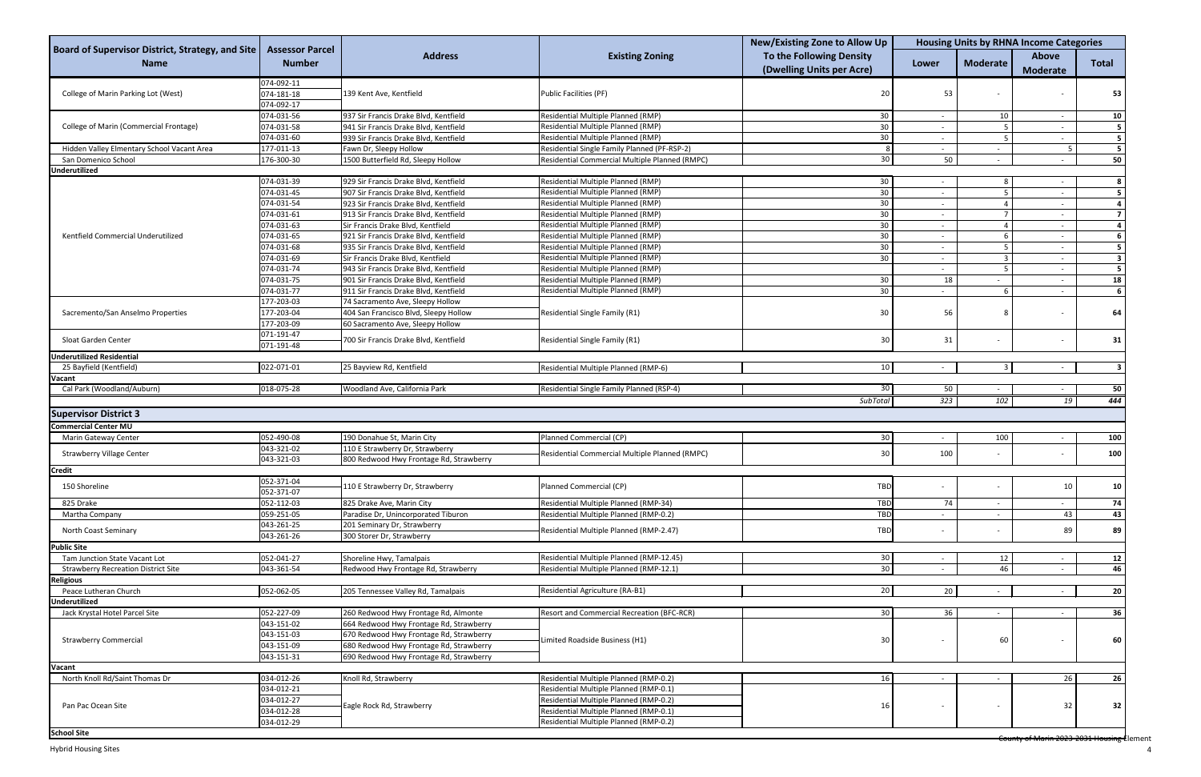|                                                                        |                                         |                                                          |                                                                                  | New/Existing Zone to Allow Up                         | <b>Housing Units by RHNA Income Categories</b> |                          |                                 |                |
|------------------------------------------------------------------------|-----------------------------------------|----------------------------------------------------------|----------------------------------------------------------------------------------|-------------------------------------------------------|------------------------------------------------|--------------------------|---------------------------------|----------------|
| <b>Board of Supervisor District, Strategy, and Site</b><br><b>Name</b> | <b>Assessor Parcel</b><br><b>Number</b> | <b>Address</b>                                           | <b>Existing Zoning</b>                                                           | To the Following Density<br>(Dwelling Units per Acre) | Lower                                          | <b>Moderate</b>          | <b>Above</b><br><b>Moderate</b> | <b>Total</b>   |
| College of Marin Parking Lot (West)                                    | 074-092-11<br>074-181-18                | 139 Kent Ave, Kentfield                                  | Public Facilities (PF)                                                           | 20                                                    | 53                                             |                          |                                 | 53             |
|                                                                        | 074-092-17                              |                                                          |                                                                                  |                                                       |                                                |                          |                                 |                |
|                                                                        | 074-031-56                              | 937 Sir Francis Drake Blvd, Kentfield                    | Residential Multiple Planned (RMP)                                               | 30 <sup>°</sup>                                       | $\sim$                                         | 10 <sup>1</sup>          | $\sim$                          | 10             |
| <b>College of Marin (Commercial Frontage)</b>                          | 074-031-58                              | 941 Sir Francis Drake Blvd, Kentfield                    | Residential Multiple Planned (RMP)                                               | 30                                                    |                                                | $\mathbf{r}$             |                                 |                |
|                                                                        | 074-031-60                              | 939 Sir Francis Drake Blvd, Kentfield                    | Residential Multiple Planned (RMP)                                               | 30                                                    | $\sim$                                         | $5^{\circ}$              | $\overline{a}$                  | -5             |
| Hidden Valley Elmentary School Vacant Area                             | 177-011-13                              | Fawn Dr, Sleepy Hollow                                   | Residential Single Family Planned (PF-RSP-2)                                     | 30                                                    | $\sim$                                         | $\sim$                   |                                 | - 5            |
| San Domenico School<br><b>Underutilized</b>                            | 176-300-30                              | 1500 Butterfield Rd, Sleepy Hollow                       | Residential Commercial Multiple Planned (RMPC)                                   |                                                       | 50                                             | $\sim$                   | $\sim$                          | 50             |
|                                                                        | 074-031-39                              | 929 Sir Francis Drake Blvd, Kentfield                    | Residential Multiple Planned (RMP)                                               | 30 <sup>°</sup>                                       |                                                | 8                        |                                 |                |
|                                                                        | 074-031-45                              | 907 Sir Francis Drake Blvd, Kentfield                    | Residential Multiple Planned (RMP)                                               | 30 <sub>o</sub>                                       | $\sim$                                         | $\mathbf{r}$             | $\overline{a}$<br>$\sim$        |                |
|                                                                        | 074-031-54                              | 923 Sir Francis Drake Blvd, Kentfield                    | Residential Multiple Planned (RMP)                                               | 30                                                    | $\overline{\phantom{a}}$<br>$\sim$             |                          | $\sim$                          |                |
|                                                                        | 074-031-61                              | 913 Sir Francis Drake Blvd, Kentfield                    | Residential Multiple Planned (RMP)                                               | 30                                                    | $\sim$                                         |                          | $\overline{a}$                  | $\overline{7}$ |
|                                                                        | 074-031-63                              | Sir Francis Drake Blvd, Kentfield                        | Residential Multiple Planned (RMP)                                               | 30 <sub>o</sub>                                       | $\overline{\phantom{0}}$                       | 4                        | $\overline{a}$                  | $\overline{a}$ |
| Kentfield Commercial Underutilized                                     | 074-031-65                              | 921 Sir Francis Drake Blvd, Kentfield                    | Residential Multiple Planned (RMP)                                               | 30                                                    | $\overline{\phantom{0}}$                       |                          | $\overline{a}$                  |                |
|                                                                        | 074-031-68                              | 935 Sir Francis Drake Blvd, Kentfield                    | Residential Multiple Planned (RMP)                                               | 30 <sup>°</sup>                                       | $\sim$                                         | 5 <sup>1</sup>           | $\sim$                          |                |
|                                                                        | 074-031-69                              | Sir Francis Drake Blvd, Kentfield                        | Residential Multiple Planned (RMP)                                               | 30                                                    |                                                | $\overline{3}$           | $\sim$                          | - 3            |
|                                                                        | 074-031-74                              | 943 Sir Francis Drake Blvd, Kentfield                    | Residential Multiple Planned (RMP)                                               |                                                       | $\sim$                                         | $\mathbf{R}$             | $\sim$                          | 5              |
|                                                                        | 074-031-75                              | 901 Sir Francis Drake Blvd, Kentfield                    | Residential Multiple Planned (RMP)                                               | 30 <sup>°</sup>                                       | 18                                             |                          | $\sim$                          | 18             |
|                                                                        | 074-031-77                              | 911 Sir Francis Drake Blvd, Kentfield                    | Residential Multiple Planned (RMP)                                               | 30                                                    | $\overline{\phantom{0}}$                       |                          |                                 |                |
|                                                                        | 177-203-03                              | 74 Sacramento Ave, Sleepy Hollow                         |                                                                                  |                                                       |                                                |                          |                                 |                |
| Sacremento/San Anselmo Properties                                      | 177-203-04                              | 404 San Francisco Blvd, Sleepy Hollow                    | <b>Residential Single Family (R1)</b>                                            | 30                                                    | 56                                             |                          |                                 | 64             |
|                                                                        | 177-203-09                              | 60 Sacramento Ave, Sleepy Hollow                         |                                                                                  |                                                       |                                                |                          |                                 |                |
| Sloat Garden Center                                                    | 071-191-47<br>071-191-48                | 700 Sir Francis Drake Blvd, Kentfield                    | <b>Residential Single Family (R1)</b>                                            | 30                                                    | 31                                             | $\overline{\phantom{a}}$ |                                 | 31             |
| <b>Underutilized Residential</b>                                       |                                         |                                                          |                                                                                  |                                                       |                                                |                          |                                 |                |
| 25 Bayfield (Kentfield)                                                | 022-071-01                              | 25 Bayview Rd, Kentfield                                 | <b>Residential Multiple Planned (RMP-6)</b>                                      | 10 <sup>1</sup>                                       | $\sim$                                         | $\overline{3}$           | $\sim$                          | -3             |
| Vacant                                                                 |                                         |                                                          |                                                                                  |                                                       |                                                |                          |                                 |                |
| Cal Park (Woodland/Auburn)                                             | 018-075-28                              | Woodland Ave, California Park                            | Residential Single Family Planned (RSP-4)                                        | 30                                                    | 50                                             |                          |                                 | 50             |
|                                                                        |                                         |                                                          |                                                                                  | SubTotal                                              | 323                                            | 102                      | 19                              | 444            |
| <b>Supervisor District 3</b>                                           |                                         |                                                          |                                                                                  |                                                       |                                                |                          |                                 |                |
| <b>Commercial Center MU</b>                                            |                                         |                                                          |                                                                                  |                                                       |                                                |                          |                                 |                |
| Marin Gateway Center                                                   | 052-490-08                              | 190 Donahue St, Marin City                               | Planned Commercial (CP)                                                          | 30                                                    | $\sim$                                         | 100                      | $\sim$                          | 100            |
| <b>Strawberry Village Center</b>                                       | 043-321-02                              | 110 E Strawberry Dr, Strawberry                          | Residential Commercial Multiple Planned (RMPC)                                   | 30                                                    | 100                                            |                          |                                 | 100            |
|                                                                        | 043-321-03                              | 800 Redwood Hwy Frontage Rd, Strawberry                  |                                                                                  |                                                       |                                                |                          |                                 |                |
| <b>Credit</b>                                                          |                                         |                                                          |                                                                                  |                                                       |                                                |                          |                                 |                |
| 150 Shoreline                                                          | 052-371-04<br>052-371-07                | 110 E Strawberry Dr, Strawberry                          | Planned Commercial (CP)                                                          | <b>TBD</b>                                            |                                                |                          | 10                              | 10             |
| 825 Drake                                                              | 052-112-03                              | 825 Drake Ave, Marin City                                | Residential Multiple Planned (RMP-34)                                            | TBD                                                   | 74                                             | $\sim$                   | $\sim$                          | 74             |
| Martha Company                                                         | 059-251-05                              | Paradise Dr, Unincorporated Tiburon                      | Residential Multiple Planned (RMP-0.2)                                           | <b>TBD</b>                                            |                                                |                          | 43                              | 43             |
| North Coast Seminary                                                   | 043-261-25<br>043-261-26                | 201 Seminary Dr, Strawberry<br>300 Storer Dr, Strawberry | Residential Multiple Planned (RMP-2.47)                                          | <b>TBD</b>                                            | $\overline{\phantom{0}}$                       |                          | 89                              | 89             |
| <b>Public Site</b>                                                     |                                         |                                                          |                                                                                  |                                                       |                                                |                          |                                 |                |
| Tam Junction State Vacant Lot                                          | 052-041-27                              | Shoreline Hwy, Tamalpais                                 | Residential Multiple Planned (RMP-12.45)                                         | 30 <sub>o</sub>                                       | $\overline{\phantom{0}}$                       | 12                       | $\overline{\phantom{0}}$        | 12             |
| <b>Strawberry Recreation District Site</b>                             | 043-361-54                              | Redwood Hwy Frontage Rd, Strawberry                      | Residential Multiple Planned (RMP-12.1)                                          | 30                                                    | $\overline{\phantom{0}}$                       | 46                       | $\sim$                          | 46             |
| <b>Religious</b>                                                       |                                         |                                                          |                                                                                  |                                                       |                                                |                          |                                 |                |
| Peace Lutheran Church                                                  | 052-062-05                              | 205 Tennessee Valley Rd, Tamalpais                       | Residential Agriculture (RA-B1)                                                  | 20                                                    | 20                                             | $\sim$                   |                                 | 20             |
| Underutilized                                                          |                                         |                                                          |                                                                                  |                                                       |                                                |                          |                                 |                |
| Jack Krystal Hotel Parcel Site                                         | 052-227-09                              | 260 Redwood Hwy Frontage Rd, Almonte                     | <b>Resort and Commercial Recreation (BFC-RCR)</b>                                | 30                                                    | 36                                             | $\sim$                   | $\sim$                          | 36             |
|                                                                        | 043-151-02                              | 664 Redwood Hwy Frontage Rd, Strawberry                  |                                                                                  |                                                       |                                                |                          |                                 |                |
| <b>Strawberry Commercial</b>                                           | 043-151-03                              | 670 Redwood Hwy Frontage Rd, Strawberry                  | Limited Roadside Business (H1)                                                   | 30                                                    |                                                | 60                       |                                 | 60             |
|                                                                        | 043-151-09                              | 680 Redwood Hwy Frontage Rd, Strawberry                  |                                                                                  |                                                       |                                                |                          |                                 |                |
|                                                                        | 043-151-31                              | 690 Redwood Hwy Frontage Rd, Strawberry                  |                                                                                  |                                                       |                                                |                          |                                 |                |
| <b>Vacant</b>                                                          |                                         |                                                          |                                                                                  |                                                       |                                                |                          |                                 |                |
| North Knoll Rd/Saint Thomas Dr                                         | 034-012-26                              | Knoll Rd, Strawberry                                     | Residential Multiple Planned (RMP-0.2)                                           | 16                                                    | $\overline{\phantom{a}}$                       |                          | 26                              | 26             |
|                                                                        | 034-012-21<br>034-012-27                |                                                          | Residential Multiple Planned (RMP-0.1)<br>Residential Multiple Planned (RMP-0.2) |                                                       |                                                |                          |                                 |                |
| Pan Pac Ocean Site                                                     | 034-012-28                              | Eagle Rock Rd, Strawberry                                | Residential Multiple Planned (RMP-0.1)                                           | 16                                                    | $\sim$                                         | $\sim$                   | 32                              | 32             |
|                                                                        | 034-012-29                              |                                                          | Residential Multiple Planned (RMP-0.2)                                           |                                                       |                                                |                          |                                 |                |
| <b>School Site</b>                                                     |                                         |                                                          |                                                                                  |                                                       |                                                |                          |                                 | 0.222.222      |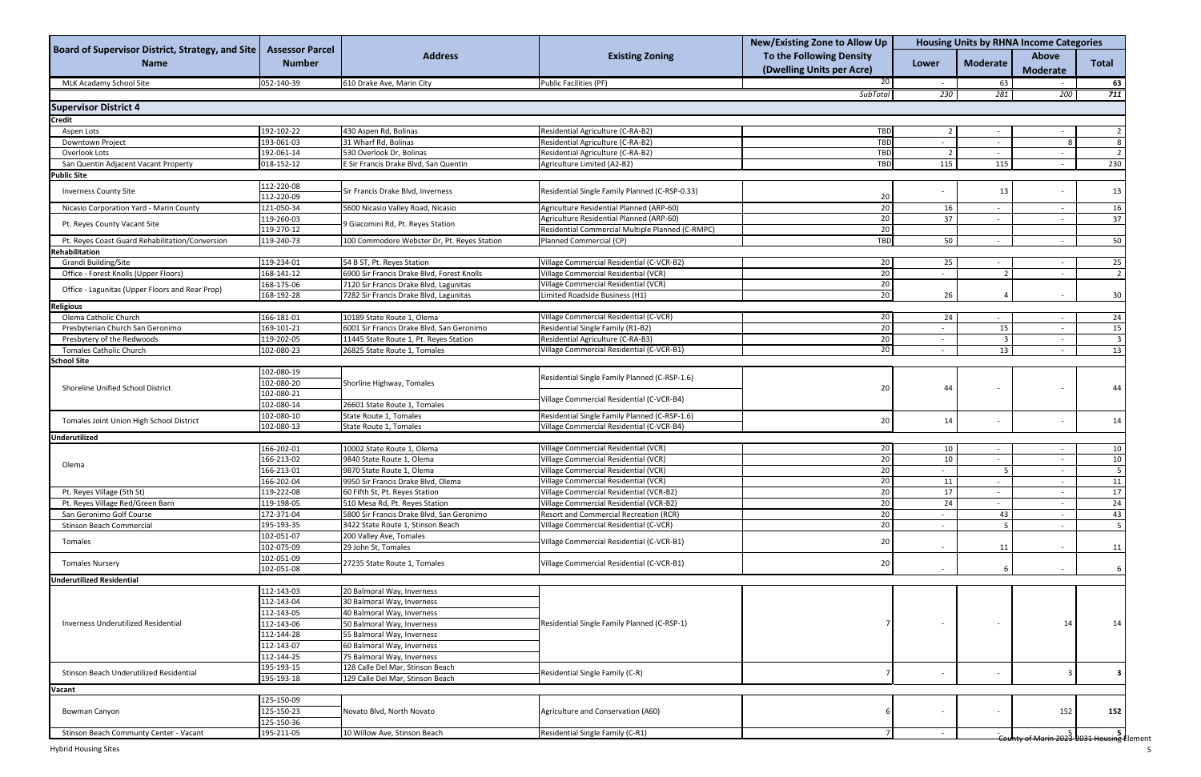|                                                                        |                                         |                                             |                                                                                            | New/Existing Zone to Allow Up | <b>Housing Units by RHNA Income Categories</b> |                          |                   |                 |  |
|------------------------------------------------------------------------|-----------------------------------------|---------------------------------------------|--------------------------------------------------------------------------------------------|-------------------------------|------------------------------------------------|--------------------------|-------------------|-----------------|--|
| <b>Board of Supervisor District, Strategy, and Site</b><br><b>Name</b> | <b>Assessor Parcel</b><br><b>Number</b> | <b>Address</b>                              | <b>Existing Zoning</b>                                                                     | To the Following Density      | Lower                                          | <b>Moderate</b>          | <b>Above</b>      | <b>Total</b>    |  |
|                                                                        |                                         |                                             |                                                                                            | (Dwelling Units per Acre)     |                                                |                          | <b>Moderate</b>   |                 |  |
| MLK Acadamy School Site                                                | 052-140-39                              | 610 Drake Ave, Marin City                   | Public Facilities (PF)                                                                     | 20                            | $\overline{\phantom{0}}$                       | 63                       |                   | 63              |  |
|                                                                        |                                         |                                             |                                                                                            | SubTotal                      | 230                                            | 281                      | 200               | 711             |  |
| <b>Supervisor District 4</b>                                           |                                         |                                             |                                                                                            |                               |                                                |                          |                   |                 |  |
| <b>Credit</b>                                                          |                                         |                                             |                                                                                            |                               |                                                |                          |                   |                 |  |
| Aspen Lots                                                             | 192-102-22                              | 430 Aspen Rd, Bolinas                       | Residential Agriculture (C-RA-B2)                                                          | <b>TBD</b>                    |                                                |                          |                   |                 |  |
| Downtown Project                                                       | 193-061-03                              | 31 Wharf Rd, Bolinas                        | Residential Agriculture (C-RA-B2)                                                          | TBD                           |                                                |                          |                   | 8 <sup>1</sup>  |  |
| Overlook Lots                                                          | 192-061-14                              | 530 Overlook Dr, Bolinas                    | Residential Agriculture (C-RA-B2)                                                          | <b>TBD</b>                    | $\overline{2}$                                 | $\sim$                   | $\sim$            | 2 <sup>1</sup>  |  |
| San Quentin Adjacent Vacant Property                                   | 018-152-12                              | E Sir Francis Drake Blvd, San Quentin       | Agriculture Limited (A2-B2)                                                                | TBD                           | 115                                            | 115                      |                   | 230             |  |
| <b>Public Site</b>                                                     |                                         |                                             |                                                                                            |                               |                                                |                          |                   |                 |  |
| <b>Inverness County Site</b>                                           | 112-220-08<br>112-220-09                | Sir Francis Drake Blvd, Inverness           | Residential Single Family Planned (C-RSP-0.33)                                             | 20                            |                                                | 13                       |                   | 13              |  |
| Nicasio Corporation Yard - Marin County                                | 121-050-34                              | 5600 Nicasio Valley Road, Nicasio           | Agriculture Residential Planned (ARP-60)                                                   | $\overline{20}$               | 16                                             | $\sim$                   | $\sim$            | 16              |  |
| Pt. Reyes County Vacant Site                                           | 119-260-03                              | 9 Giacomini Rd, Pt. Reyes Station           | Agriculture Residential Planned (ARP-60)                                                   | 20                            | 37                                             | $\sim$                   | $\sim$            | 37              |  |
|                                                                        | 119-270-12                              |                                             | Residential Commercial Multiple Planned (C-RMPC)                                           | 20                            |                                                |                          |                   |                 |  |
| Pt. Reyes Coast Guard Rehabilitation/Conversion                        | 119-240-73                              | 100 Commodore Webster Dr, Pt. Reyes Station | Planned Commercial (CP)                                                                    | <b>TBD</b>                    | 50                                             |                          |                   | 50              |  |
| <b>Rehabilitation</b>                                                  |                                         |                                             |                                                                                            |                               |                                                |                          |                   |                 |  |
| <b>Grandi Building/Site</b>                                            | 119-234-01                              | 54 B ST, Pt. Reyes Station                  | Village Commercial Residential (C-VCR-B2)                                                  | 20 <sub>1</sub>               | 25                                             |                          | $\sim$            | 25              |  |
| Office - Forest Knolls (Upper Floors)                                  | 168-141-12                              | 6900 Sir Francis Drake Blvd, Forest Knolls  | Village Commercial Residential (VCR)                                                       | $\overline{20}$               | $\overline{\phantom{0}}$                       |                          | $\overline{a}$    | 2 <sup>1</sup>  |  |
| Office - Lagunitas (Upper Floors and Rear Prop)                        | 168-175-06                              | 7120 Sir Francis Drake Blvd, Lagunitas      | Village Commercial Residential (VCR)                                                       | $\overline{20}$               |                                                |                          |                   |                 |  |
|                                                                        | 168-192-28                              | 7282 Sir Francis Drake Blvd, Lagunitas      | Limited Roadside Business (H1)                                                             | 20                            | 26                                             |                          |                   | 30              |  |
| <b>Religious</b>                                                       |                                         |                                             |                                                                                            |                               |                                                |                          |                   |                 |  |
| Olema Catholic Church                                                  | 166-181-01                              | 10189 State Route 1, Olema                  | Village Commercial Residential (C-VCR)                                                     | 20 <sup>1</sup>               | 24                                             |                          | $\sim$            | 24              |  |
| Presbyterian Church San Geronimo                                       | 169-101-21                              | 6001 Sir Francis Drake Blvd, San Geronimo   | Residential Single Family (R1-B2)                                                          | 20                            |                                                | 15                       | $\sim$            | 15              |  |
| Presbytery of the Redwoods                                             | 119-202-05                              | 11445 State Route 1, Pt. Reyes Station      | Residential Agriculture (C-RA-B3)                                                          | $\overline{20}$               | $\overline{\phantom{0}}$                       |                          | $\sim$            | 3 <sup>1</sup>  |  |
| <b>Tomales Catholic Church</b>                                         | 102-080-23                              | 26825 State Route 1, Tomales                | Village Commercial Residential (C-VCR-B1)                                                  | $\overline{20}$               | $\overline{\phantom{0}}$                       | 13                       | $\sim$            | 13              |  |
| <b>School Site</b>                                                     |                                         |                                             |                                                                                            |                               |                                                |                          |                   |                 |  |
|                                                                        | 102-080-19                              |                                             | Residential Single Family Planned (C-RSP-1.6)<br>Village Commercial Residential (C-VCR-B4) |                               |                                                |                          |                   |                 |  |
| Shoreline Unified School District                                      | 102-080-20                              | Shorline Highway, Tomales                   |                                                                                            | 20                            |                                                |                          |                   |                 |  |
|                                                                        | 102-080-21                              |                                             |                                                                                            |                               | 44                                             |                          |                   | 44              |  |
|                                                                        | 102-080-14                              | 26601 State Route 1, Tomales                |                                                                                            |                               |                                                |                          |                   |                 |  |
|                                                                        | 102-080-10                              | State Route 1, Tomales                      | Residential Single Family Planned (C-RSP-1.6)                                              |                               |                                                |                          |                   |                 |  |
| Tomales Joint Union High School District                               | 102-080-13                              | State Route 1, Tomales                      | Village Commercial Residential (C-VCR-B4)                                                  | 20 <sup>1</sup>               | 14                                             |                          | $\sim$            | 14              |  |
| <b>Underutilized</b>                                                   |                                         |                                             |                                                                                            |                               |                                                |                          |                   |                 |  |
|                                                                        | 166-202-01                              | 10002 State Route 1, Olema                  | Village Commercial Residential (VCR)                                                       | 20 <sub>1</sub>               | 10                                             |                          | $\sim$            | 10 <sup>1</sup> |  |
|                                                                        | 166-213-02                              | 9840 State Route 1, Olema                   | Village Commercial Residential (VCR)                                                       | 20                            | 10                                             |                          | $\overline{a}$    | 10 <sup>1</sup> |  |
| Olema                                                                  | 166-213-01                              | 9870 State Route 1, Olema                   | Village Commercial Residential (VCR)                                                       | 20                            | $\sim$                                         |                          | $\sim$            |                 |  |
|                                                                        | 166-202-04                              | 9950 Sir Francis Drake Blvd, Olema          | Village Commercial Residential (VCR)                                                       | 20                            | 11                                             | $\overline{\phantom{a}}$ | $\overline{a}$    | 11              |  |
| Pt. Reyes Village (5th St)                                             | 119-222-08                              | 60 Fifth St, Pt. Reyes Station              | Village Commercial Residential (VCR-B2)                                                    | 20                            | 17                                             |                          | $\sim$            | $17 \mid$       |  |
| Pt. Reyes Village Red/Green Barn                                       | 119-198-05                              | 510 Mesa Rd, Pt. Reyes Station              | Village Commercial Residential (VCR-B2)                                                    | 20                            | 24                                             |                          | $\sim$            | 24              |  |
| San Geronimo Golf Course                                               | 172-371-04                              | 5800 Sir Francis Drake Blvd, San Geronimo   | <b>Resort and Commercial Recreation (RCR)</b>                                              | 20                            | $\sim$                                         | 43                       | $\sim$            | 43              |  |
| <b>Stinson Beach Commercial</b>                                        | 195-193-35                              | 3422 State Route 1, Stinson Beach           | Village Commercial Residential (C-VCR)                                                     | 20                            | $\sim$                                         |                          | $\sim$            | 5 <sup>1</sup>  |  |
|                                                                        | 102-051-07                              | 200 Valley Ave, Tomales                     |                                                                                            |                               |                                                |                          |                   |                 |  |
| Tomales                                                                | 102-075-09                              | 29 John St, Tomales                         | Village Commercial Residential (C-VCR-B1)                                                  | 20                            |                                                | 11                       |                   | 11              |  |
|                                                                        | 102-051-09                              |                                             |                                                                                            |                               |                                                |                          |                   |                 |  |
| <b>Tomales Nursery</b>                                                 | 102-051-08                              | 27235 State Route 1, Tomales                | Village Commercial Residential (C-VCR-B1)                                                  | 20                            |                                                |                          |                   | 6               |  |
| <b>Underutilized Residential</b>                                       |                                         |                                             |                                                                                            |                               |                                                |                          |                   |                 |  |
|                                                                        | 112-143-03                              | 20 Balmoral Way, Inverness                  |                                                                                            |                               |                                                |                          |                   |                 |  |
|                                                                        | 112-143-04                              | 30 Balmoral Way, Inverness                  |                                                                                            |                               |                                                |                          |                   |                 |  |
|                                                                        | 112-143-05                              | 40 Balmoral Way, Inverness                  |                                                                                            |                               |                                                |                          |                   |                 |  |
| Inverness Underutilized Residential                                    | 112-143-06                              | 50 Balmoral Way, Inverness                  | Residential Single Family Planned (C-RSP-1)                                                |                               |                                                |                          |                   | 14              |  |
|                                                                        | 112-144-28                              | 55 Balmoral Way, Inverness                  |                                                                                            |                               |                                                |                          |                   |                 |  |
|                                                                        | 112-143-07                              | 60 Balmoral Way, Inverness                  |                                                                                            |                               |                                                |                          |                   |                 |  |
|                                                                        | 112-144-25                              | 75 Balmoral Way, Inverness                  |                                                                                            |                               |                                                |                          |                   |                 |  |
|                                                                        | 195-193-15                              | 128 Calle Del Mar, Stinson Beach            |                                                                                            |                               |                                                |                          |                   |                 |  |
| Stinson Beach Underutilized Residential                                | 195-193-18                              | 129 Calle Del Mar, Stinson Beach            | Residential Single Family (C-R)                                                            |                               |                                                |                          |                   | 3 I             |  |
| <b>Vacant</b>                                                          |                                         |                                             |                                                                                            |                               |                                                |                          |                   |                 |  |
|                                                                        | 125-150-09                              |                                             |                                                                                            |                               |                                                |                          |                   |                 |  |
| Bowman Canyon                                                          | 125-150-23                              | Novato Blvd, North Novato                   | Agriculture and Conservation (A60)                                                         |                               |                                                |                          | 152               | 152             |  |
|                                                                        | 125-150-36                              |                                             |                                                                                            |                               |                                                |                          |                   |                 |  |
| Stinson Beach Communty Center - Vacant                                 | 195-211-05                              | 10 Willow Ave, Stinson Beach                | Residential Single Family (C-R1)                                                           | $\overline{7}$                | $\sim$                                         | $\bar{z}$                | مبيدوم وحدمه ونعد | $\overline{5}$  |  |

**County of Marin 2023-2031 Housing E**lement